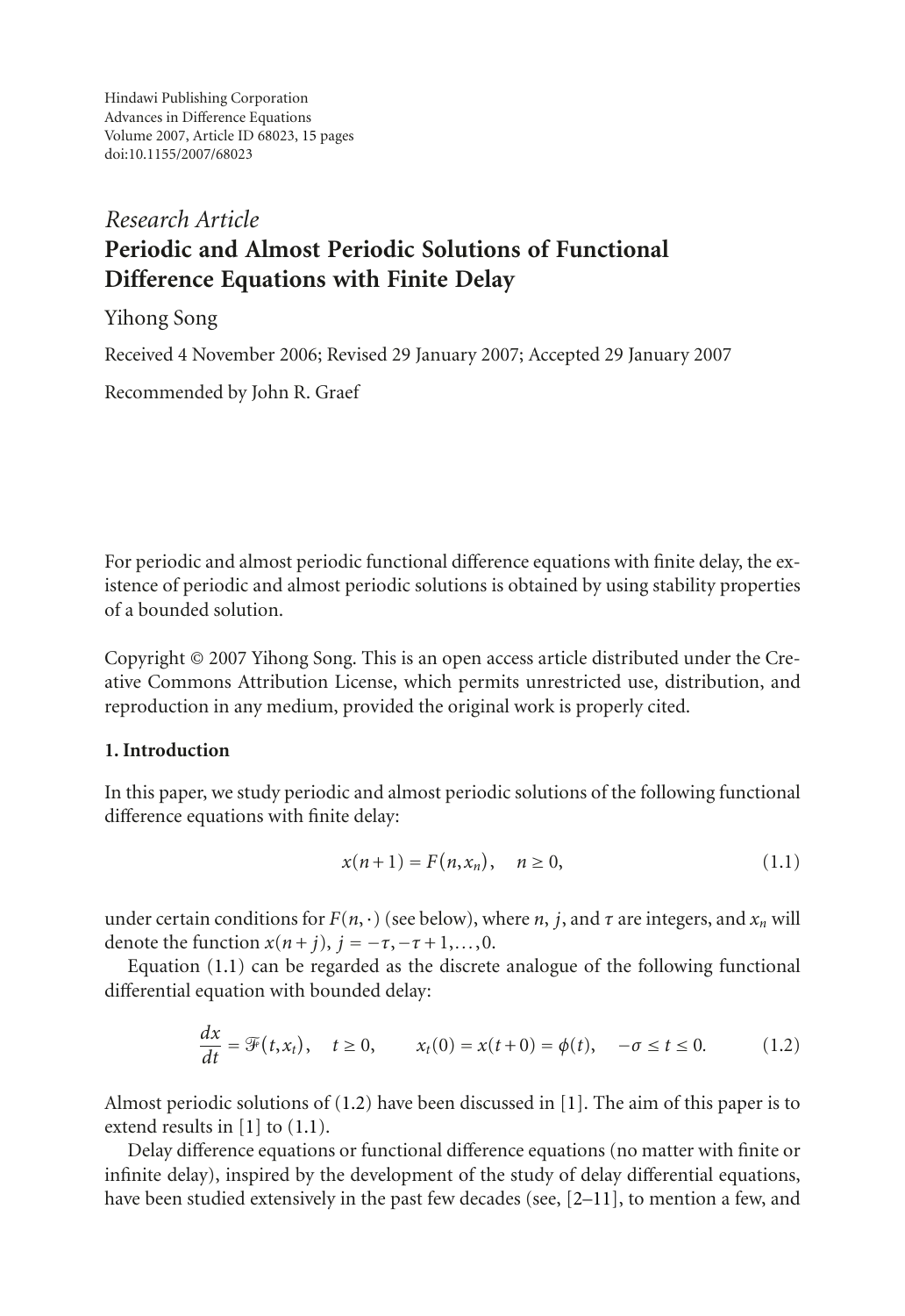Hindawi Publishing Corporation Advances in Difference Equations Volume 2007, Article ID 68023, [15](#page-13-0) pages doi:10.1155/2007/68023

# *Research Article* **Periodic and Almost Periodic Solutions of Functional Difference Equations with Finite Delay**

# Yihong Song

Received 4 November 2006; Revised 29 January 2007; Accepted 29 January 2007

Recommended by John R. Graef

For periodic and almost periodic functional difference equations with finite delay, the existence of periodic and almost periodic solutions is obtained by using stability properties of a bounded solution.

Copyright © 2007 Yihong Song. This is an open access article distributed under the Creative Commons Attribution License, which permits unrestricted use, distribution, and reproduction in any medium, provided the original work is properly cited.

# **1. Introduction**

In this paper, we study periodic and almost periodic solutions of the following functional difference equations with finite delay:

<span id="page-0-1"></span><span id="page-0-0"></span>
$$
x(n+1) = F(n, x_n), \quad n \ge 0,
$$
\n(1.1)

under certain conditions for  $F(n, \cdot)$  (see below), where *n*, *j*, and *τ* are integers, and  $x_n$  will denote the function  $x(n + j)$ ,  $j = -\tau, -\tau + 1, \ldots, 0$ .

Equation [\(1.1\)](#page-0-0) can be regarded as the discrete analogue of the following functional differential equation with bounded delay:

$$
\frac{dx}{dt} = \mathcal{F}(t, x_t), \quad t \ge 0, \qquad x_t(0) = x(t+0) = \phi(t), \quad -\sigma \le t \le 0.
$$
 (1.2)

Almost periodic solutions of  $(1.2)$  have been discussed in  $[1]$  $[1]$ . The aim of this paper is to extend results in [\[1\]](#page-13-1) to [\(1.1\)](#page-0-0).

Delay difference equations or functional difference equations (no matter with finite or infinite delay), inspired by the development of the study of delay differential equations, have been studied extensively in the past few decades (see,  $[2-11]$  $[2-11]$ , to mention a few, and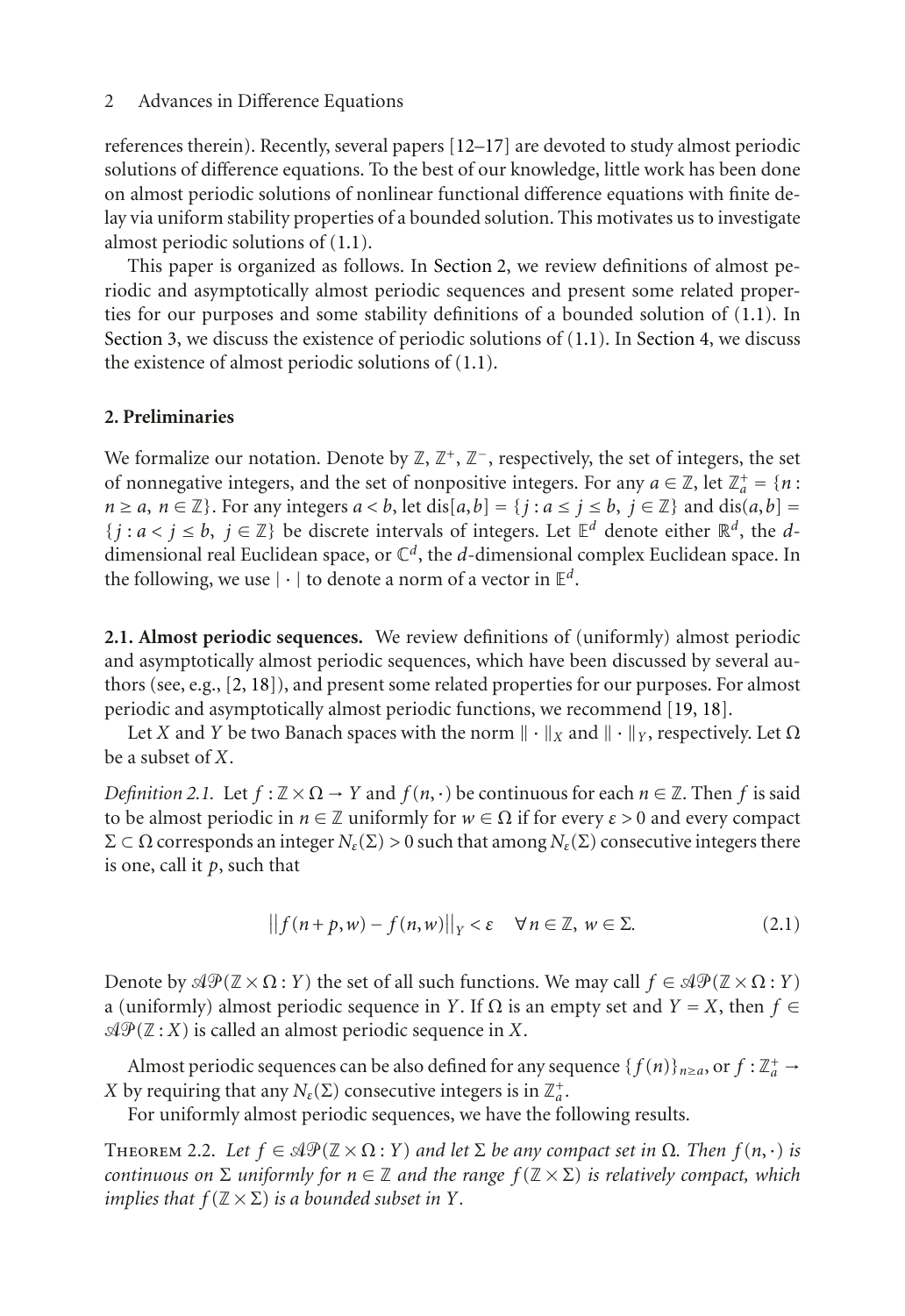references therein). Recently, several papers [\[12](#page-14-1)[–17](#page-14-2)] are devoted to study almost periodic solutions of difference equations. To the best of our knowledge, little work has been done on almost periodic solutions of nonlinear functional difference equations with finite delay via uniform stability properties of a bounded solution. This motivates us to investigate almost periodic solutions of [\(1.1\)](#page-0-0).

This paper is organized as follows. In [Section 2,](#page-1-0) we review definitions of almost periodic and asymptotically almost periodic sequences and present some related properties for our purposes and some stability definitions of a bounded solution of [\(1.1\)](#page-0-0). In [Section 3,](#page-3-0) we discuss the existence of periodic solutions of [\(1.1\)](#page-0-0). In [Section 4,](#page-7-0) we discuss the existence of almost periodic solutions of [\(1.1\)](#page-0-0).

# <span id="page-1-0"></span>**2. Preliminaries**

We formalize our notation. Denote by  $\mathbb{Z}, \mathbb{Z}^+, \mathbb{Z}^-$ , respectively, the set of integers, the set of nonnegative integers, and the set of nonpositive integers. For any  $a \in \mathbb{Z}$ , let  $\mathbb{Z}_a^+ = \{n : a \in \mathbb{Z}^d\}$  $n \ge a$ ,  $n \in \mathbb{Z}$ . For any integers  $a < b$ , let dis $[a, b] = \{j : a \le j \le b, j \in \mathbb{Z}\}$  and dis $(a, b] =$  $\{j : a < j \leq b, j \in \mathbb{Z}\}\$  be discrete intervals of integers. Let  $\mathbb{E}^d$  denote either  $\mathbb{R}^d$ , the *d*dimensional real Euclidean space, or  $\mathbb{C}^d$ , the *d*-dimensional complex Euclidean space. In the following, we use  $|\cdot|$  to denote a norm of a vector in  $\mathbb{E}^d$ .

**2.1. Almost periodic sequences.** We review definitions of (uniformly) almost periodic and asymptotically almost periodic sequences, which have been discussed by several authors (see, e.g., [\[2](#page-13-2), [18](#page-14-3)]), and present some related properties for our purposes. For almost periodic and asymptotically almost periodic functions, we recommend [\[19](#page-14-4), [18\]](#page-14-3).

Let *X* and *Y* be two Banach spaces with the norm  $\|\cdot\|_X$  and  $\|\cdot\|_Y$ , respectively. Let  $\Omega$ be a subset of *X*.

*Definition 2.1.* Let  $f : \mathbb{Z} \times \Omega \to Y$  and  $f(n, \cdot)$  be continuous for each  $n \in \mathbb{Z}$ . Then f is said to be almost periodic in  $n \in \mathbb{Z}$  uniformly for  $w \in \Omega$  if for every  $\varepsilon > 0$  and every compact  $Σ ⊂ Ω$  corresponds an integer  $N_{ε}$ (Σ) > 0 such that among  $N_{ε}$ (Σ) consecutive integers there is one, call it *p*, such that

$$
\|f(n+p,w)-f(n,w)\|_{Y}<\varepsilon\quad\forall\,n\in\mathbb{Z},\,w\in\Sigma.\tag{2.1}
$$

Denote by  $\mathcal{AP}(\mathbb{Z} \times \Omega : Y)$  the set of all such functions. We may call  $f \in \mathcal{AP}(\mathbb{Z} \times \Omega : Y)$ a (uniformly) almost periodic sequence in *Y*. If  $\Omega$  is an empty set and  $Y = X$ , then  $f \in$  $\mathcal{A}\mathcal{P}(\mathbb{Z}:X)$  is called an almost periodic sequence in X.

Almost periodic sequences can be also defined for any sequence  $\{f(n)\}_{n\geq a}$ , or  $f:\mathbb{Z}_a^+ \to$ *X* by requiring that any  $N_{\varepsilon}(\Sigma)$  consecutive integers is in  $\mathbb{Z}_a^+$ .

For uniformly almost periodic sequences, we have the following results.

<span id="page-1-1"></span>THEOREM 2.2. Let  $f \in \mathcal{AP}(\mathbb{Z} \times \Omega : Y)$  and let  $\Sigma$  be any compact set in  $\Omega$ . Then  $f(n, \cdot)$  is *continuous on*  $\Sigma$  *uniformly for*  $n \in \mathbb{Z}$  *and the range*  $f(\mathbb{Z} \times \Sigma)$  *is relatively compact, which implies that*  $f(\mathbb{Z} \times \Sigma)$  *is a bounded subset in Y.*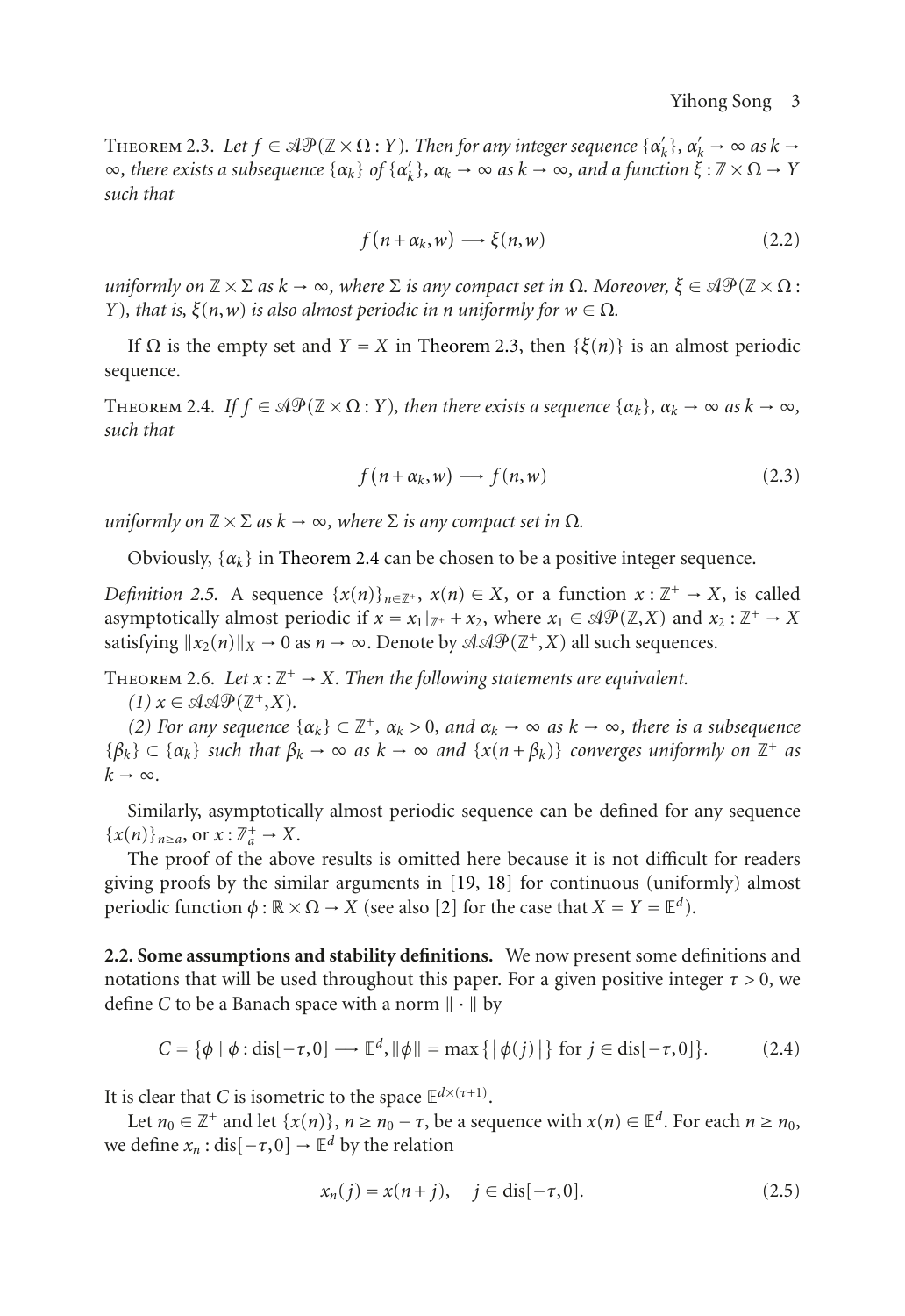<span id="page-2-0"></span>THEOREM 2.3. Let  $f \in \mathcal{AP}(\mathbb{Z} \times \Omega : Y)$ . Then for any integer sequence  $\{\alpha'_k\}, \alpha'_k \to \infty$  as  $k \to \infty$  $\infty$ *, there exists a subsequence* { $\alpha_k$ } *of* { $\alpha'_k$ }*,*  $\alpha_k \to \infty$  *as*  $k \to \infty$ *, and a function*  $\xi : \mathbb{Z} \times \Omega \to Y$ *such that*

$$
f(n + \alpha_k, w) \longrightarrow \xi(n, w)
$$
 (2.2)

 $u$ niformly on  $\mathbb{Z}\times\Sigma$  as  $k\to\infty$ , where  $\Sigma$  is any compact set in  $\Omega$ . Moreover,  $\xi\in\mathbb{A}\mathfrak{P}(\mathbb{Z}\times\Omega$  : *Y*), that is,  $\xi(n, w)$  *is also almost periodic in n uniformly for*  $w \in \Omega$ *.* 

<span id="page-2-1"></span>If <sup>Ω</sup> is the empty set and *<sup>Y</sup>* <sup>=</sup> *<sup>X</sup>* in [Theorem 2.3,](#page-2-0) then {*ξ*(*n*)} is an almost periodic sequence.

THEOREM 2.4. *If*  $f \in \mathcal{AP}(\mathbb{Z} \times \Omega : Y)$ , then there exists a sequence  $\{\alpha_k\}, \alpha_k \to \infty$  as  $k \to \infty$ , *such that*

$$
f(n + \alpha_k, w) \longrightarrow f(n, w)
$$
 (2.3)

*uniformly on*  $\mathbb{Z} \times \Sigma$  *as*  $k \to \infty$ *, where*  $\Sigma$  *is any compact set in*  $\Omega$ *.* 

Obviously,  $\{\alpha_k\}$  in [Theorem 2.4](#page-2-1) can be chosen to be a positive integer sequence.

*Definition 2.5.* A sequence  $\{x(n)\}_{n \in \mathbb{Z}^+}$ ,  $x(n) \in X$ , or a function  $x : \mathbb{Z}^+ \to X$ , is called asymptotically almost periodic if  $x = x_1|_{\mathbb{Z}^+} + x_2$ , where  $x_1 \in \mathcal{AP}(\mathbb{Z}, X)$  and  $x_2 : \mathbb{Z}^+ \to X$ satisfying  $||x_2(n)||_X \to 0$  as  $n \to \infty$ . Denote by  $\mathcal{A} \mathcal{A} \mathcal{P}(\mathbb{Z}^+, X)$  all such sequences.

<span id="page-2-3"></span>THEOREM 2.6. Let  $x : \mathbb{Z}^+ \to X$ . Then the following statements are equivalent.

 $(1)$   $x \in \mathcal{A} \mathcal{A} \mathcal{P}(\mathbb{Z}^+, X)$ .

*(2) For any sequence* { $α_k$ } ⊂  $\mathbb{Z}^+$ *,*  $α_k$  *> 0, and*  $α_k$  → ∞ *as*  $k$  → ∞*, there is a subsequence*  ${\beta_k} \subset {\alpha_k}$  *such that*  $\beta_k \to \infty$  *as*  $k \to \infty$  *and*  ${\{x(n + \beta_k)\}}$  *converges uniformly on*  $\mathbb{Z}^+$  *as*  $k \rightarrow \infty$ .

Similarly, asymptotically almost periodic sequence can be defined for any sequence  $\{x(n)\}_{n\geq a}$ , or  $x:\mathbb{Z}_a^+ \to X$ .

The proof of the above results is omitted here because it is not difficult for readers giving proofs by the similar arguments in [\[19,](#page-14-4) [18\]](#page-14-3) for continuous (uniformly) almost periodic function  $\phi : \mathbb{R} \times \Omega \to X$  (see also [\[2](#page-13-2)] for the case that  $X = Y = \mathbb{E}^d$ ).

**2.2. Some assumptions and stability definitions.** We now present some definitions and notations that will be used throughout this paper. For a given positive integer  $\tau > 0$ , we define *C* to be a Banach space with a norm  $\|\cdot\|$  by

$$
C = \{ \phi \mid \phi : \text{dis}[-\tau, 0] \longrightarrow \mathbb{E}^d, \|\phi\| = \max\{ |\phi(j)| \} \text{ for } j \in \text{dis}[-\tau, 0] \}. \tag{2.4}
$$

It is clear that *C* is isometric to the space  $\mathbb{E}^{d \times (\tau+1)}$ .

Let  $n_0 \in \mathbb{Z}^+$  and let  $\{x(n)\}, n \ge n_0 - \tau$ , be a sequence with  $x(n) \in \mathbb{E}^d$ . For each  $n \ge n_0$ , we define  $x_n$ : dis $[-\tau, 0] \rightarrow \mathbb{E}^d$  by the relation

<span id="page-2-2"></span>
$$
x_n(j) = x(n+j), \quad j \in dis[-\tau, 0].
$$
 (2.5)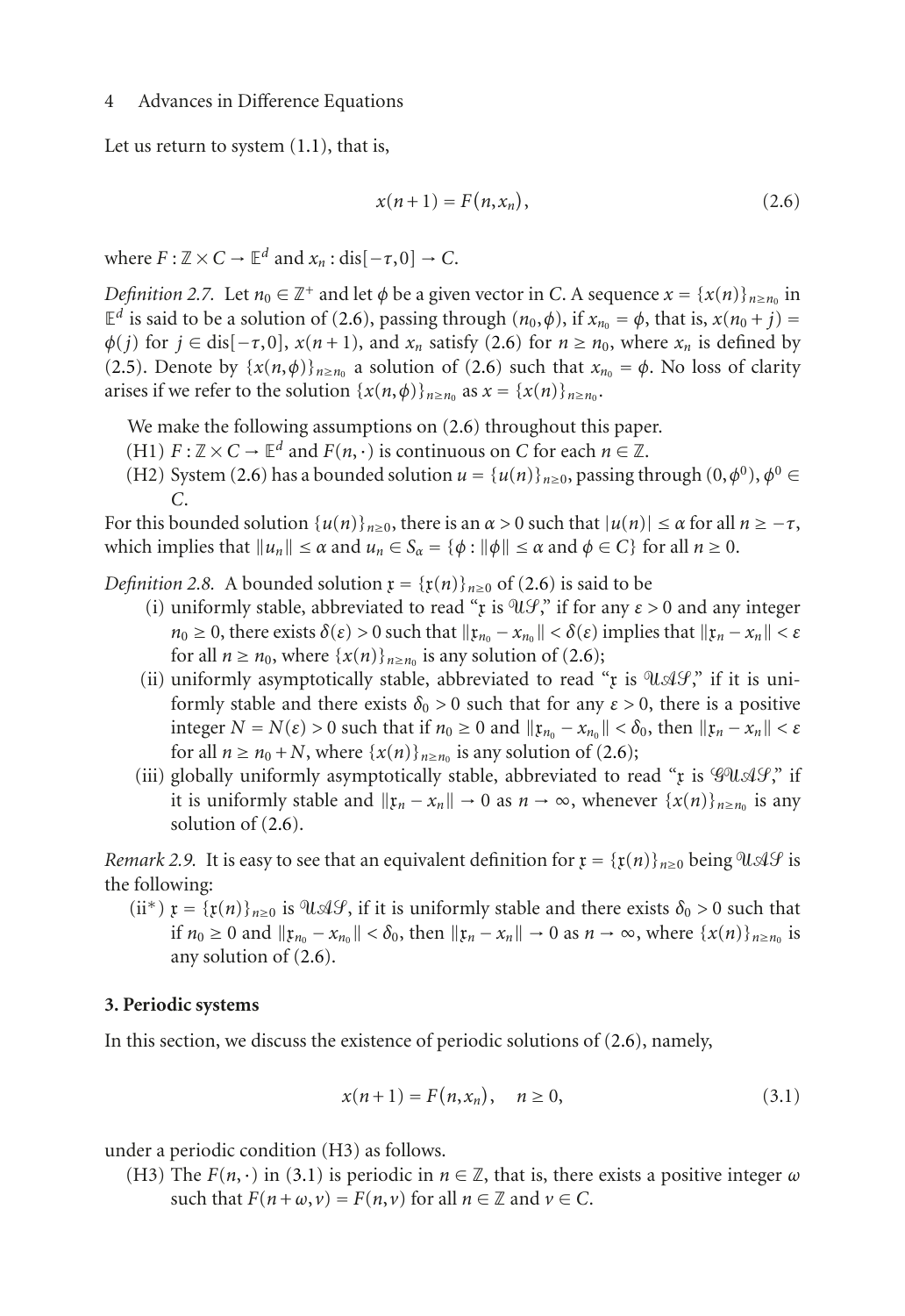Let us return to system  $(1.1)$ , that is,

<span id="page-3-1"></span>
$$
x(n+1) = F(n, x_n), \tag{2.6}
$$

where  $F: \mathbb{Z} \times C \to \mathbb{E}^d$  and  $x_n$ : dis $[-\tau, 0] \to C$ .

*Definition 2.7.* Let  $n_0 \in \mathbb{Z}^+$  and let  $\phi$  be a given vector in *C*. A sequence  $x = \{x(n)\}_{n \ge n_0}$  in  $\mathbb{E}^d$  is said to be a solution of [\(2.6\)](#page-3-1), passing through  $(n_0, \phi)$ , if  $x_{n_0} = \phi$ , that is,  $x(n_0 + j) =$  $\phi(j)$  for  $j \in \text{dis}[-\tau, 0]$ ,  $x(n+1)$ , and  $x_n$  satisfy [\(2.6\)](#page-3-1) for  $n \geq n_0$ , where  $x_n$  is defined by [\(2.5\)](#page-2-2). Denote by  $\{x(n, \phi)\}_{n \ge n_0}$  a solution of [\(2.6\)](#page-3-1) such that  $x_{n_0} = \phi$ . No loss of clarity arises if we refer to the solution  $\{x(n, \phi)\}_{n \ge n_0}$  as  $x = \{x(n)\}_{n \ge n_0}$ .

We make the following assumptions on  $(2.6)$  throughout this paper.

- (H1)  $F: \mathbb{Z} \times C \to \mathbb{E}^d$  and  $F(n, \cdot)$  is continuous on *C* for each  $n \in \mathbb{Z}$ .
- (H2) System [\(2.6\)](#page-3-1) has a bounded solution  $u = {u(n)}_{n\geq0}$ , passing through  $(0, \phi^0)$ ,  $\phi^0 \in$ *C*.

<span id="page-3-3"></span>For this bounded solution  $\{u(n)\}_{n>0}$ , there is an  $\alpha > 0$  such that  $|u(n)| \leq \alpha$  for all  $n \geq -\tau$ , which implies that  $||u_n|| \le \alpha$  and  $u_n \in S_\alpha = {\varphi : ||\varphi|| \le \alpha}$  and  $\phi \in C}$  for all  $n \ge 0$ .

*Definition 2.8.* A bounded solution  $\mathfrak{x} = {\{\mathfrak{x}(n)\}}_{n\geq0}$  of [\(2.6\)](#page-3-1) is said to be

- (i) uniformly stable, abbreviated to read " $\mathfrak x$  is  $\mathfrak u \mathcal G$ ," if for any  $\varepsilon > 0$  and any integer  $n_0 \geq 0$ , there exists  $\delta(\varepsilon) > 0$  such that  $\|\mathfrak{x}_{n_0} - x_{n_0}\| < \delta(\varepsilon)$  implies that  $\|\mathfrak{x}_n - x_n\| < \varepsilon$ for all  $n \ge n_0$ , where  $\{x(n)\}_{n \ge n_0}$  is any solution of [\(2.6\)](#page-3-1);
- (ii) uniformly asymptotically stable, abbreviated to read " $\mathfrak x$  is  $\mathfrak u \mathcal A \mathcal G$ ," if it is uniformly stable and there exists  $\delta_0 > 0$  such that for any  $\varepsilon > 0$ , there is a positive integer  $N = N(\varepsilon) > 0$  such that if  $n_0 \ge 0$  and  $\|\mathfrak{x}_{n_0} - x_{n_0}\| < \delta_0$ , then  $\|\mathfrak{x}_n - x_n\| < \varepsilon$ for all  $n \ge n_0 + N$ , where  $\{x(n)\}_{n \ge n_0}$  is any solution of [\(2.6\)](#page-3-1);
- (iii) globally uniformly asymptotically stable, abbreviated to read " $x$  is  $\mathscr{G}U \mathscr{A} \mathscr{G}$ ", if it is uniformly stable and  $\|x_n - x_n\| \to 0$  as  $n \to \infty$ , whenever  $\{x(n)\}_{n \ge n_0}$  is any solution of [\(2.6\)](#page-3-1).

<span id="page-3-4"></span>*Remark 2.9.* It is easy to see that an equivalent definition for  $\mathfrak{x} = {\{\mathfrak{x}(n)\}}_{n\geq0}$  being  $\mathfrak{A}\mathcal{G}$  is the following:

(ii<sup>\*</sup>)  $\mathfrak{x} = {\{\mathfrak{x}(n)\}}_{n\geq0}$  is  $\mathfrak{A}\mathcal{A}\mathcal{G}$ , if it is uniformly stable and there exists  $\delta_0 > 0$  such that if  $n_0 \geq 0$  and  $\|\mathfrak{x}_{n_0} - \mathfrak{x}_{n_0}\| < \delta_0$ , then  $\|\mathfrak{x}_n - \mathfrak{x}_n\| \to 0$  as  $n \to \infty$ , where  $\{\mathfrak{x}(n)\}_{n \geq n_0}$  is any solution of [\(2.6\)](#page-3-1).

### <span id="page-3-0"></span>**3. Periodic systems**

In this section, we discuss the existence of periodic solutions of [\(2.6\)](#page-3-1), namely,

<span id="page-3-2"></span>
$$
x(n+1) = F(n, x_n), \quad n \ge 0,
$$
\n(3.1)

under a periodic condition (H3) as follows.

(H3) The  $F(n, \cdot)$  in [\(3.1\)](#page-3-2) is periodic in  $n \in \mathbb{Z}$ , that is, there exists a positive integer  $\omega$ such that  $F(n + \omega, \nu) = F(n, \nu)$  for all  $n \in \mathbb{Z}$  and  $\nu \in C$ .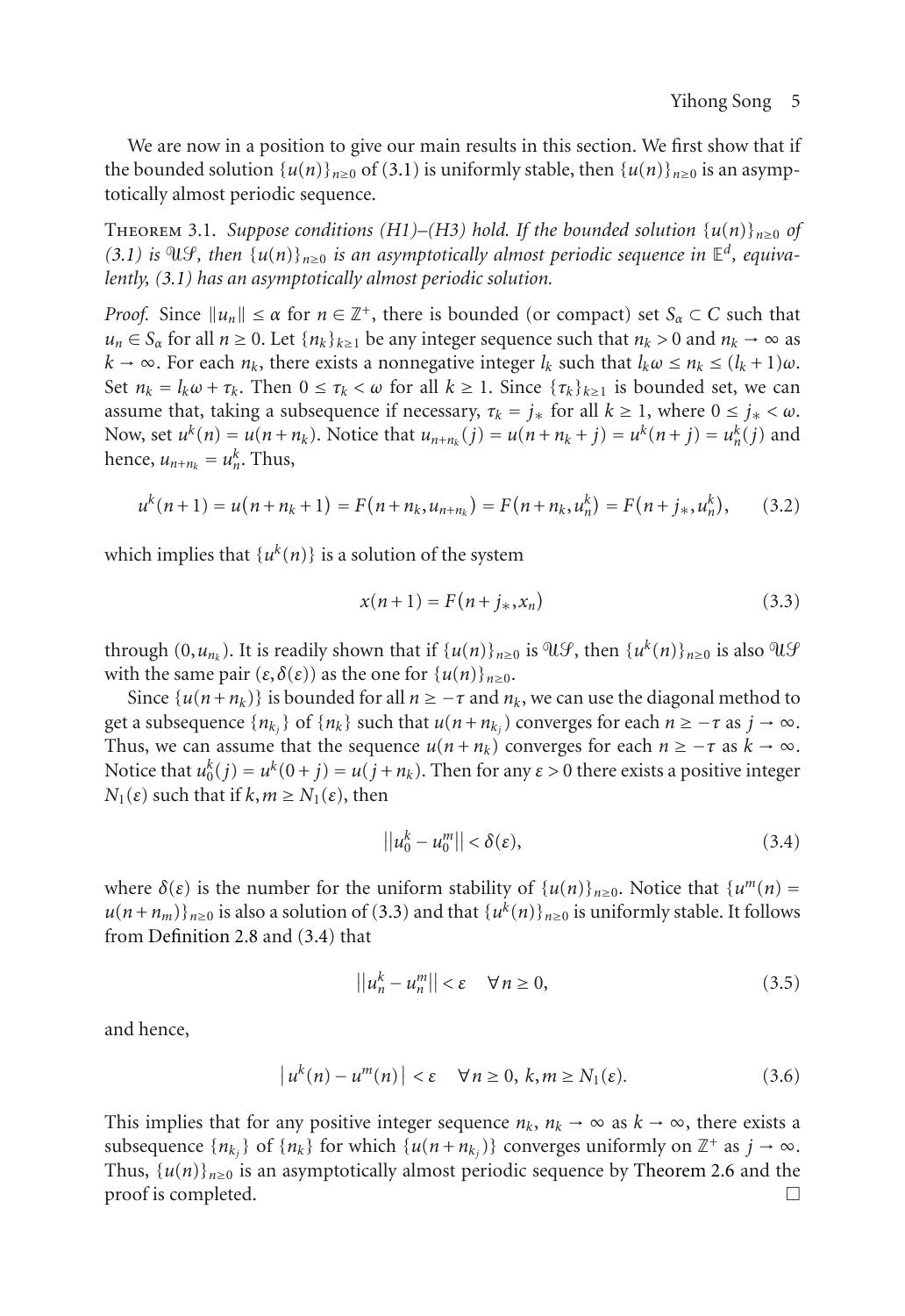We are now in a position to give our main results in this section. We first show that if the bounded solution  $\{u(n)\}_{n\geq 0}$  of [\(3.1\)](#page-3-2) is uniformly stable, then  $\{u(n)\}_{n\geq 0}$  is an asymptotically almost periodic sequence.

<span id="page-4-2"></span>THEOREM 3.1. Suppose conditions (H1)–(H3) hold. If the bounded solution  $\{u(n)\}_{n>0}$  of  $(3.1)$  is  $\mathfrak{N}(\mathcal{G})$ , then  $\{u(n)\}_{n\geq 0}$  is an asymptotically almost periodic sequence in  $\mathbb{E}^d$ , equiva*lently, [\(3.1\)](#page-3-2) has an asymptotically almost periodic solution.*

*Proof.* Since  $||u_n|| \le \alpha$  for  $n \in \mathbb{Z}^+$ , there is bounded (or compact) set  $S_\alpha \subset C$  such that  $u_n \in S_\alpha$  for all  $n \geq 0$ . Let  $\{n_k\}_{k \geq 1}$  be any integer sequence such that  $n_k > 0$  and  $n_k \to \infty$  as  $k \to \infty$ . For each  $n_k$ , there exists a nonnegative integer  $l_k$  such that  $l_k \omega \leq n_k \leq (l_k + 1)\omega$ . Set  $n_k = l_k \omega + \tau_k$ . Then  $0 \le \tau_k < \omega$  for all  $k \ge 1$ . Since  $\{\tau_k\}_{k>1}$  is bounded set, we can assume that, taking a subsequence if necessary,  $\tau_k = j_*$  for all  $k \ge 1$ , where  $0 \le j_* < \omega$ . Now, set  $u^k(n) = u(n + n_k)$ . Notice that  $u_{n+n_k}(j) = u(n + n_k + j) = u^k(n + j) = u^k_n(j)$  and hence,  $u_{n+n_k} = u_n^k$ . Thus,

$$
u^{k}(n+1) = u(n+n_{k}+1) = F(n+n_{k},u_{n+n_{k}}) = F(n+n_{k},u_{n}^{k}) = F(n+j_{*},u_{n}^{k}), \qquad (3.2)
$$

which implies that  $\{u^k(n)\}\$ is a solution of the system

<span id="page-4-0"></span>
$$
x(n+1) = F(n+j_*,x_n)
$$
 (3.3)

through  $(0, u_{n_k})$ . It is readily shown that if  $\{u(n)\}_{n\geq 0}$  is  $\mathfrak{A}(\mathcal{G})$ , then  $\{u^k(n)\}_{n\geq 0}$  is also  $\mathfrak{A}(\mathcal{G})$ with the same pair  $(\varepsilon, \delta(\varepsilon))$  as the one for  $\{u(n)\}_{n\geq 0}$ .

Since  $\{u(n+n_k)\}\$ is bounded for all  $n \geq -\tau$  and  $n_k$ , we can use the diagonal method to get a subsequence  $\{n_k\}$  of  $\{n_k\}$  such that  $u(n+n_k)$  converges for each  $n \geq -\tau$  as  $j \to \infty$ . Thus, we can assume that the sequence  $u(n + n_k)$  converges for each  $n \geq -\tau$  as  $k \to \infty$ . Notice that  $u_0^k(j) = u^k(0+j) = u(j+n_k)$ . Then for any  $\varepsilon > 0$  there exists a positive integer *N*<sub>1</sub>(*ε*) such that if *k*, *m* ≥ *N*<sub>1</sub>(*ε*), then

<span id="page-4-1"></span>
$$
||u_0^k - u_0^m|| < \delta(\varepsilon), \tag{3.4}
$$

where  $\delta(\varepsilon)$  is the number for the uniform stability of  $\{u(n)\}_{n\geq 0}$ . Notice that  $\{u^m(n) =$  $u(n+n_m)$ <sub> $n\geq 0$ </sub> is also a solution of [\(3.3\)](#page-4-0) and that  $\{u^k(n)\}_{n\geq 0}$  is uniformly stable. It follows from [Definition 2.8](#page-3-3) and [\(3.4\)](#page-4-1) that

$$
||u_n^k - u_n^m|| < \varepsilon \quad \forall n \ge 0,
$$
\n(3.5)

and hence,

$$
|u^{k}(n) - u^{m}(n)| < \varepsilon \quad \forall n \ge 0, \ k, m \ge N_{1}(\varepsilon). \tag{3.6}
$$

<span id="page-4-3"></span>This implies that for any positive integer sequence  $n_k$ ,  $n_k \to \infty$  as  $k \to \infty$ , there exists a subsequence  $\{n_{k_i}\}$  of  $\{n_k\}$  for which  $\{u(n + n_{k_i})\}$  converges uniformly on  $\mathbb{Z}^+$  as  $j \to \infty$ . Thus,  $\{u(n)\}_{n\geq 0}$  is an asymptotically almost periodic sequence by [Theorem 2.6](#page-2-3) and the  $\Box$  proof is completed.  $\Box$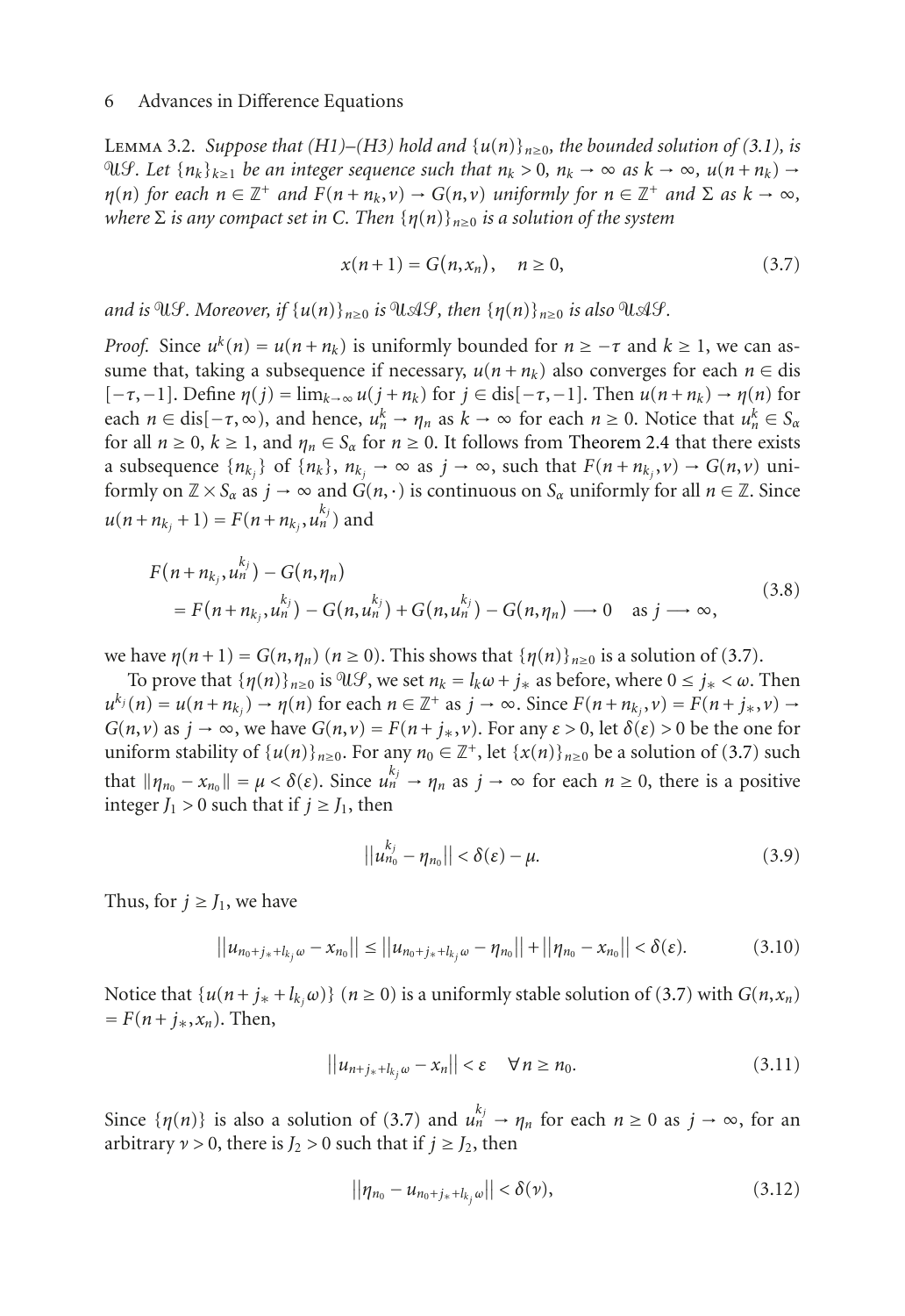LEMMA 3.2. *Suppose that (H1)–(H3) hold and*  $\{u(n)\}_{n>0}$ *, the bounded solution of [\(3.1\)](#page-3-2), is n* $\mathcal{A}$ *k*≥1 *be an integer sequence such that*  $n_k > 0$ ,  $n_k \to ∞$  *as*  $k \to ∞$ ,  $u(n + n_k) \to √$  $\eta(n)$  *for each*  $n \in \mathbb{Z}^+$  *and*  $F(n + n_k, v) \to G(n, v)$  *uniformly for*  $n \in \mathbb{Z}^+$  *and*  $\Sigma$  *as*  $k \to \infty$ *, where* <sup>Σ</sup> *is any compact set in <sup>C</sup>. Then* {*η*(*n*)}*n*≥<sup>0</sup> *is a solution of the system*

<span id="page-5-0"></span>
$$
x(n+1) = G(n, x_n), \quad n \ge 0,
$$
\n(3.7)

*and is*  $\mathfrak{A}(f)$ . Moreover, if  $\{u(n)\}_{n>0}$  *is*  $\mathfrak{A}(f)$ , then  $\{\eta(n)\}_{n>0}$  *is also*  $\mathfrak{A}(f)$ .

*Proof.* Since  $u^k(n) = u(n + n_k)$  is uniformly bounded for  $n \geq -\tau$  and  $k \geq 1$ , we can assume that, taking a subsequence if necessary,  $u(n + n_k)$  also converges for each  $n \in$  dis  $[-\tau, -1]$ . Define  $\eta(j) = \lim_{k \to \infty} u(j + n_k)$  for  $j \in \text{dis}[-\tau, -1]$ . Then  $u(n + n_k) \to \eta(n)$  for each  $n \in \text{dis}[-\tau,\infty)$ , and hence,  $u_n^k \to \eta_n$  as  $k \to \infty$  for each  $n \ge 0$ . Notice that  $u_n^k \in S_\alpha$ for all  $n \ge 0$ ,  $k \ge 1$ , and  $\eta_n \in S_\alpha$  for  $n \ge 0$ . It follows from [Theorem 2.4](#page-2-1) that there exists a subsequence  $\{n_k\}$  of  $\{n_k\}$ ,  $n_k$   $\rightarrow \infty$  as  $j \rightarrow \infty$ , such that  $F(n + n_k, \nu) \rightarrow G(n, \nu)$  uniformly on  $\mathbb{Z} \times S_\alpha$  as  $j \to \infty$  and  $G(n, \cdot)$  is continuous on  $S_\alpha$  uniformly for all  $n \in \mathbb{Z}$ . Since  $u(n + n_{k_j} + 1) = F(n + n_{k_j}, u_n^{k_j})$  and

$$
F(n + n_{k_j}, u_n^{k_j}) - G(n, \eta_n)
$$
  
=  $F(n + n_{k_j}, u_n^{k_j}) - G(n, u_n^{k_j}) + G(n, u_n^{k_j}) - G(n, \eta_n) \longrightarrow 0 \text{ as } j \longrightarrow \infty,$  (3.8)

we have  $\eta(n+1) = G(n, \eta_n)$   $(n \ge 0)$ . This shows that  $\{\eta(n)\}_{n \ge 0}$  is a solution of [\(3.7\)](#page-5-0).

To prove that  $\{\eta(n)\}_{n>0}$  is  $\partial \mathcal{U}\mathcal{G}$ , we set  $n_k = l_k \omega + j_*$  as before, where  $0 \le j_* < \omega$ . Then  $u^{k_j}(n) = u(n + n_{k_j}) \rightarrow \eta(n)$  for each  $n \in \mathbb{Z}^+$  as  $j \rightarrow \infty$ . Since  $F(n + n_{k_j}, v) = F(n + j_*, v) \rightarrow$ *G*(*n*,*v*) as  $j \to \infty$ , we have  $G(n, v) = F(n + j_*, v)$ . For any  $\varepsilon > 0$ , let  $\delta(\varepsilon) > 0$  be the one for uniform stability of  $\{u(n)\}_{n\geq 0}$ . For any  $n_0 \in \mathbb{Z}^+$ , let  $\{x(n)\}_{n\geq 0}$  be a solution of [\(3.7\)](#page-5-0) such that  $\|\eta_{n_0} - x_{n_0}\| = \mu < \delta(\varepsilon)$ . Since  $u_n^{k_j} \to \eta_n$  as  $j \to \infty$  for each  $n \ge 0$ , there is a positive integer  $J_1 > 0$  such that if  $j \geq J_1$ , then

<span id="page-5-1"></span>
$$
||u_{n_0}^{k_j} - \eta_{n_0}|| < \delta(\varepsilon) - \mu.
$$
 (3.9)

Thus, for  $j \geq J_1$ , we have

$$
||u_{n_0+j_*+l_{k_j}\omega}-x_{n_0}|| \leq ||u_{n_0+j_*+l_{k_j}\omega}-\eta_{n_0}||+||\eta_{n_0}-x_{n_0}|| < \delta(\varepsilon).
$$
 (3.10)

Notice that  $\{u(n+j_*+l_{k_i}\omega)\}\ (n\geq 0)$  is a uniformly stable solution of [\(3.7\)](#page-5-0) with  $G(n,x_n)$  $= F(n + j_*, x_n)$ . Then,

$$
||u_{n+j_{*}+l_{k_{j}}\omega}-x_{n}||<\varepsilon \quad \forall n\geq n_{0}.
$$
\n(3.11)

Since  $\{\eta(n)\}\$ is also a solution of [\(3.7\)](#page-5-0) and  $u_n^{k_j} \to \eta_n$  for each  $n \geq 0$  as  $j \to \infty$ , for an arbitrary  $\nu > 0$ , there is  $J_2 > 0$  such that if  $j \geq J_2$ , then

<span id="page-5-2"></span>
$$
||\eta_{n_0} - u_{n_0 + j_* + l_{k_j}\omega}|| < \delta(\nu),
$$
\n(3.12)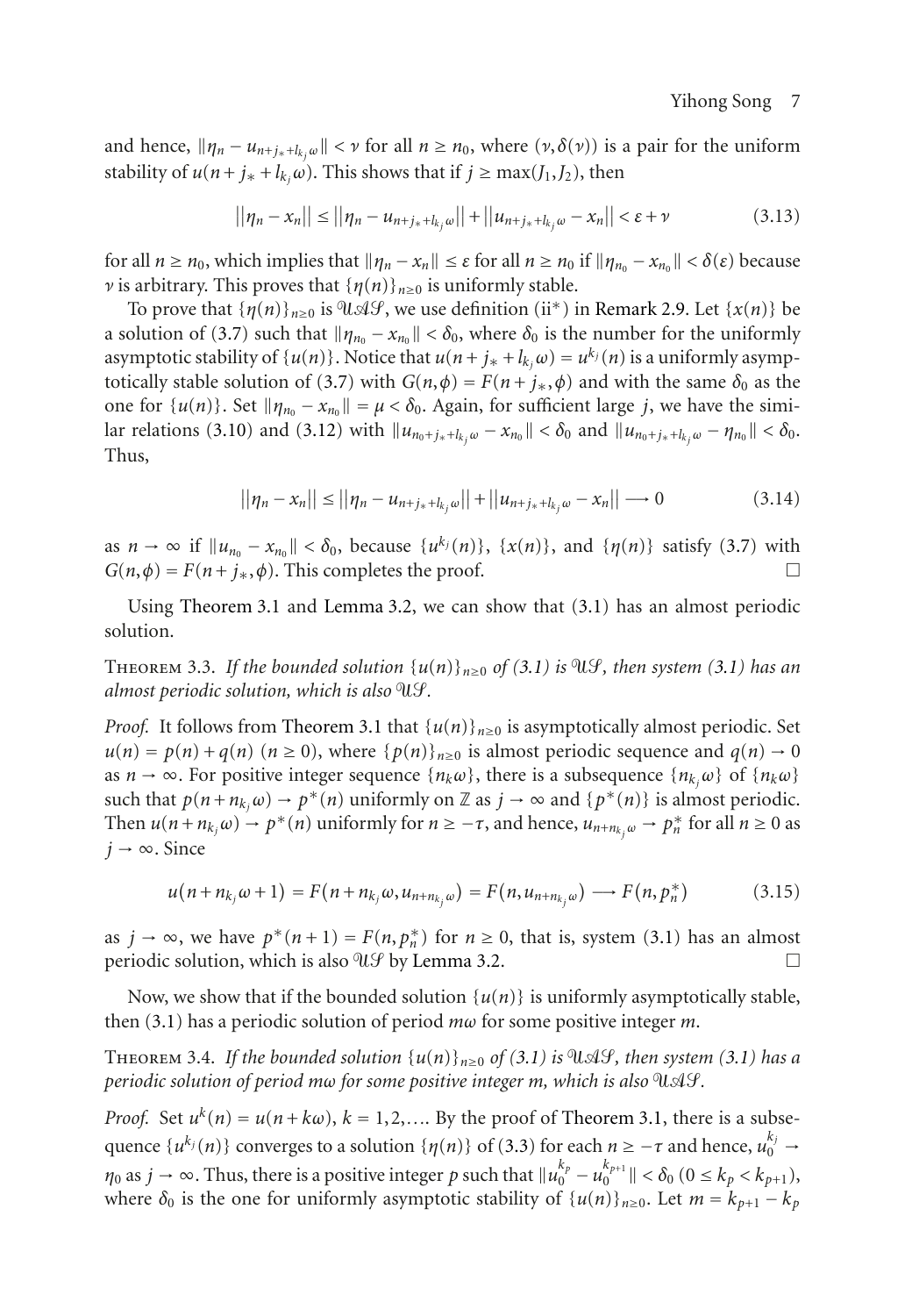and hence,  $\|\eta_n - u_{n+j_*+l_k,\omega}\| < \nu$  for all  $n \ge n_0$ , where  $(\nu,\delta(\nu))$  is a pair for the uniform stability of  $u(n + j_{*} + l_{k}, \omega)$ . This shows that if  $j \ge \max(J_1, J_2)$ , then

$$
||\eta_n - x_n|| \le ||\eta_n - u_{n+j_* + l_{k_j}\omega}|| + ||u_{n+j_* + l_{k_j}\omega} - x_n|| < \varepsilon + \nu
$$
\n(3.13)

for all  $n \ge n_0$ , which implies that  $||\eta_n - x_n|| \le \varepsilon$  for all  $n \ge n_0$  if  $||\eta_{n_0} - x_{n_0}|| < \delta(\varepsilon)$  because *ν* is arbitrary. This proves that  $\{\eta(n)\}_{n\geq 0}$  is uniformly stable.

To prove that  $\{\eta(n)\}_{n\geq 0}$  is  $\mathcal{U}\mathcal{A}\mathcal{G}$ , we use definition (ii<sup>\*</sup>) in [Remark 2.9.](#page-3-4) Let  $\{x(n)\}$  be a solution of [\(3.7\)](#page-5-0) such that  $\|\eta_{n_0} - x_{n_0}\| < \delta_0$ , where  $\delta_0$  is the number for the uniformly asymptotic stability of  $\{u(n)\}\)$ . Notice that  $u(n + j_{*} + l_{k}) = u^{k}$  (*n*) is a uniformly asymp-totically stable solution of [\(3.7\)](#page-5-0) with  $G(n, \phi) = F(n + j_*, \phi)$  and with the same  $\delta_0$  as the one for  $\{u(n)\}\$ . Set  $\|\eta_{n_0} - x_{n_0}\| = \mu < \delta_0$ . Again, for sufficient large *j*, we have the simi-lar relations [\(3.10\)](#page-5-1) and [\(3.12\)](#page-5-2) with  $||u_{n_0+j_*+l_k,\omega} - x_{n_0}|| < \delta_0$  and  $||u_{n_0+j_*+l_k,\omega} - \eta_{n_0}|| < \delta_0$ . Thus,

$$
||\eta_n - x_n|| \le ||\eta_n - u_{n+j_* + l_{k_j}\omega}|| + ||u_{n+j_* + l_{k_j}\omega} - x_n|| \to 0
$$
\n(3.14)

as  $n \to \infty$  if  $||u_{n_0} - x_{n_0}|| < \delta_0$ , because  $\{u^{k_j}(n)\}$ ,  $\{x(n)\}$ , and  $\{\eta(n)\}$  satisfy [\(3.7\)](#page-5-0) with  $G(n, \phi) = F(n + i_\ast, \phi)$ . This completes the proof.  $G(n, \phi) = F(n + j_*, \phi)$ . This completes the proof.

Using [Theorem 3.1](#page-4-2) and [Lemma 3.2,](#page-4-3) we can show that [\(3.1\)](#page-3-2) has an almost periodic solution.

THEOREM 3.3. If the bounded solution  $\{u(n)\}_{n>0}$  of [\(3.1\)](#page-3-2) is  $\mathfrak{A}(\mathcal{G})$ , then system (3.1) has an *almost periodic solution, which is also .*

*Proof.* It follows from [Theorem 3.1](#page-4-2) that  $\{u(n)\}_{n\geq0}$  is asymptotically almost periodic. Set  $u(n) = p(n) + q(n)$  ( $n \ge 0$ ), where  $\{p(n)\}_{n \ge 0}$  is almost periodic sequence and  $q(n) \to 0$ as  $n \to \infty$ . For positive integer sequence { $n_k \omega$ }, there is a subsequence { $n_k \omega$ } of { $n_k \omega$ } such that  $p(n + n_k, \omega) \to p^*(n)$  uniformly on Z as  $j \to \infty$  and  $\{p^*(n)\}\$ is almost periodic. Then  $u(n + n_{k_j}\omega) \to p^*(n)$  uniformly for  $n \geq -\tau$ , and hence,  $u_{n+n_{k_j}\omega} \to p_n^*$  for all  $n \geq 0$  as  $j \rightarrow \infty$ . Since

$$
u(n + n_{k_j}\omega + 1) = F(n + n_{k_j}\omega, u_{n + n_{k_j}\omega}) = F(n, u_{n + n_{k_j}\omega}) \longrightarrow F(n, p_n^*)
$$
 (3.15)

as  $j \to \infty$ , we have  $p^*(n+1) = F(n, p_n^*)$  for  $n \ge 0$ , that is, system [\(3.1\)](#page-3-2) has an almost periodic solution, which is also  $\mathcal{U}\mathcal{Y}$  by [Lemma 3.2.](#page-4-3)  $\Box$ 

Now, we show that if the bounded solution  $\{u(n)\}\$ is uniformly asymptotically stable, then [\(3.1\)](#page-3-2) has a periodic solution of period *mω* for some positive integer *m*.

<span id="page-6-0"></span>THEOREM 3.4. If the bounded solution  $\{u(n)\}_{n\geq0}$  of [\(3.1\)](#page-3-2) is  $\mathfrak{A}\mathcal{G}$ , then system (3.1) has a *periodic solution of period mω for some positive integer m, which is also* UAS.

*Proof.* Set  $u^k(n) = u(n + k\omega)$ ,  $k = 1, 2, \dots$  By the proof of [Theorem 3.1,](#page-4-2) there is a subsequence  $\{u^{k_j}(n)\}$  converges to a solution  $\{\eta(n)\}$  of [\(3.3\)](#page-4-0) for each  $n \ge -\tau$  and hence,  $u_0^{k_j}$  $0 \rightarrow$ *n*<sub>0</sub> as *j*  $\rightarrow \infty$ . Thus, there is a positive integer *p* such that  $||u_0^{k_p} - u_0^{k_{p+1}}|| < \delta_0$  (0 ≤  $k_p < k_{p+1}$ ), where  $\delta_0$  is the one for uniformly asymptotic stability of  $\{u(n)\}_{n\geq 0}$ . Let  $m = k_{p+1} - k_p$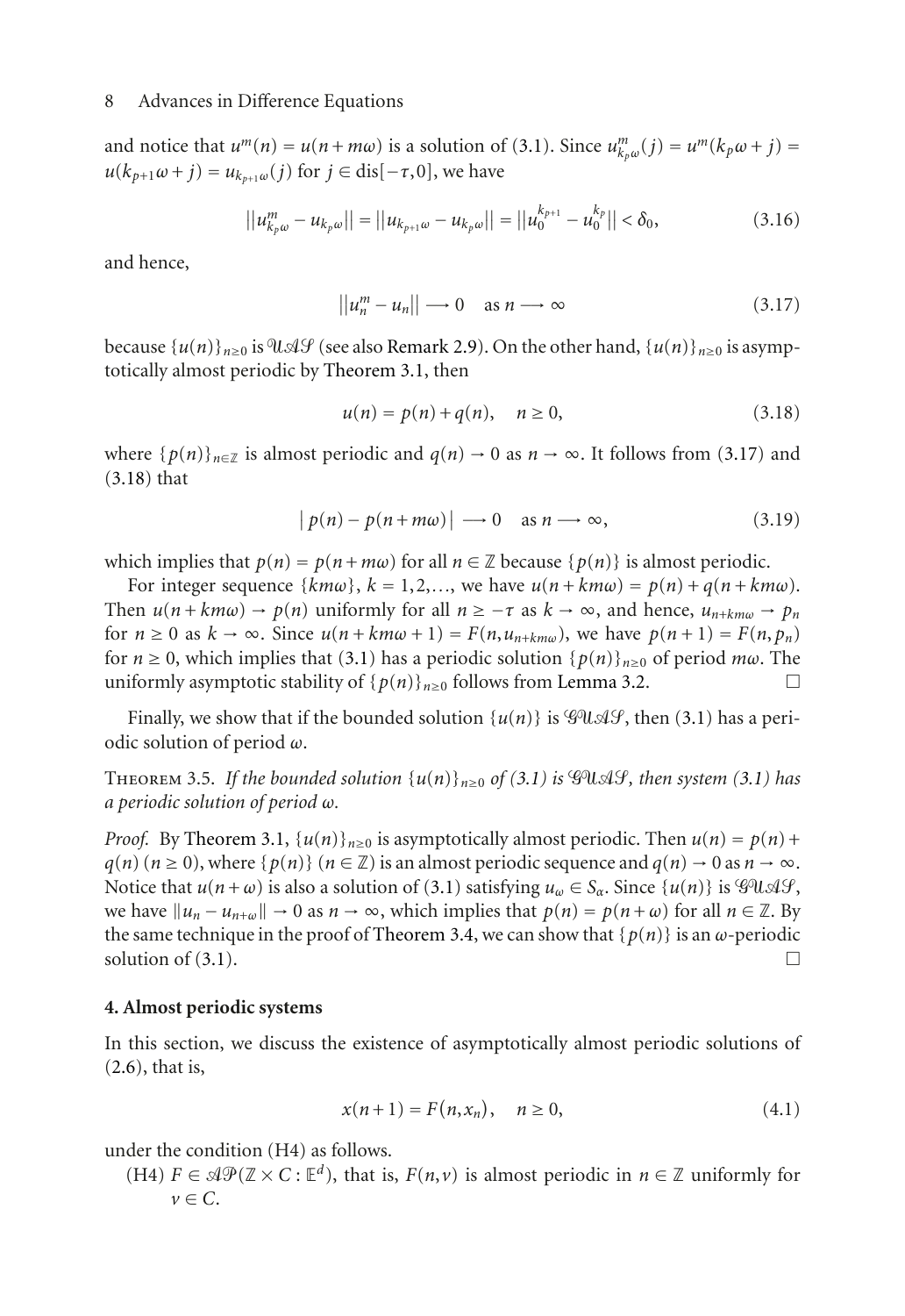and notice that  $u^m(n) = u(n + m\omega)$  is a solution of [\(3.1\)](#page-3-2). Since  $u^m_{k_p\omega}(j) = u^m(k_p\omega + j) =$ *u*(*k*<sub>*p*+1</sub>ω + *j*) = *u*<sub>*k*<sub>*n*+1</sub>ω(*j*) for *j* ∈ dis[−*τ*,0], we have</sub>

$$
||u_{k_p\omega}^m - u_{k_p\omega}|| = ||u_{k_{p+1}\omega} - u_{k_p\omega}|| = ||u_0^{k_{p+1}} - u_0^{k_p}|| < \delta_0,
$$
\n(3.16)

and hence,

<span id="page-7-1"></span>
$$
||u_n^m - u_n|| \longrightarrow 0 \quad \text{as } n \longrightarrow \infty \tag{3.17}
$$

because  $\{u(n)\}_{n\geq 0}$  is  $\partial \mathcal{U} \mathcal{A} \mathcal{G}$  (see also [Remark 2.9\)](#page-3-4). On the other hand,  $\{u(n)\}_{n\geq 0}$  is asymptotically almost periodic by [Theorem 3.1,](#page-4-2) then

<span id="page-7-2"></span>
$$
u(n) = p(n) + q(n), \quad n \ge 0,
$$
\n(3.18)

where  $\{p(n)\}_{n\in\mathbb{Z}}$  is almost periodic and  $q(n) \to 0$  as  $n \to \infty$ . It follows from [\(3.17\)](#page-7-1) and [\(3.18\)](#page-7-2) that

$$
|p(n) - p(n + m\omega)| \longrightarrow 0 \quad \text{as } n \longrightarrow \infty,
$$
 (3.19)

which implies that  $p(n) = p(n + m\omega)$  for all  $n \in \mathbb{Z}$  because  $\{p(n)\}\$ is almost periodic.

For integer sequence  $\{km\omega\}$ ,  $k = 1, 2, \ldots$ , we have  $u(n + km\omega) = p(n) + q(n + km\omega)$ . Then  $u(n + km\omega) \rightarrow p(n)$  uniformly for all  $n \geq -\tau$  as  $k \rightarrow \infty$ , and hence,  $u_{n+km\omega} \rightarrow p_n$ for  $n \ge 0$  as  $k \to \infty$ . Since  $u(n + km\omega + 1) = F(n, u_{n+km\omega})$ , we have  $p(n+1) = F(n, p_n)$ for  $n \ge 0$ , which implies that [\(3.1\)](#page-3-2) has a periodic solution  $\{p(n)\}_{n>0}$  of period  $m\omega$ . The uniformly asymptotic stability of  $\{p(n)\}_{n\geq 0}$  follows from [Lemma 3.2.](#page-4-3)

Finally, we show that if the bounded solution  $\{u(n)\}\$ is  $\mathcal{G}U\mathcal{A}\mathcal{G}$ , then [\(3.1\)](#page-3-2) has a periodic solution of period *ω*.

THEOREM 3.5. If the bounded solution  $\{u(n)\}_{n>0}$  of [\(3.1\)](#page-3-2) is  $\mathscr{G} \mathscr{U} \mathscr{A} \mathscr{G}$ , then system (3.1) has *a periodic solution of period ω.*

*Proof.* By [Theorem 3.1,](#page-4-2)  $\{u(n)\}_{n\geq0}$  is asymptotically almost periodic. Then  $u(n) = p(n) + p(n)$  $q(n)$  ( $n \ge 0$ ), where { $p(n)$ } ( $n \in \mathbb{Z}$ ) is an almost periodic sequence and  $q(n) \to 0$  as  $n \to \infty$ . Notice that  $u(n+\omega)$  is also a solution of [\(3.1\)](#page-3-2) satisfying  $u_{\omega} \in S_{\alpha}$ . Since  $\{u(n)\}$  is  $\mathscr{G}U \mathscr{A} \mathscr{G}$ , we have  $||u_n - u_{n+\omega}|| \to 0$  as  $n \to \infty$ , which implies that  $p(n) = p(n+\omega)$  for all  $n \in \mathbb{Z}$ . By the same technique in the proof of [Theorem 3.4,](#page-6-0) we can show that  $\{p(n)\}\$ is an  $\omega$ -periodic solution of (3.1). solution of  $(3.1)$ .

# <span id="page-7-0"></span>**4. Almost periodic systems**

In this section, we discuss the existence of asymptotically almost periodic solutions of [\(2.6\)](#page-3-1), that is,

<span id="page-7-3"></span>
$$
x(n+1) = F(n, x_n), \quad n \ge 0,
$$
\n(4.1)

under the condition (H4) as follows.

(H4)  $F \in \mathcal{AP}(\mathbb{Z} \times C : \mathbb{E}^d)$ , that is,  $F(n, v)$  is almost periodic in  $n \in \mathbb{Z}$  uniformly for  $\nu \in C$ .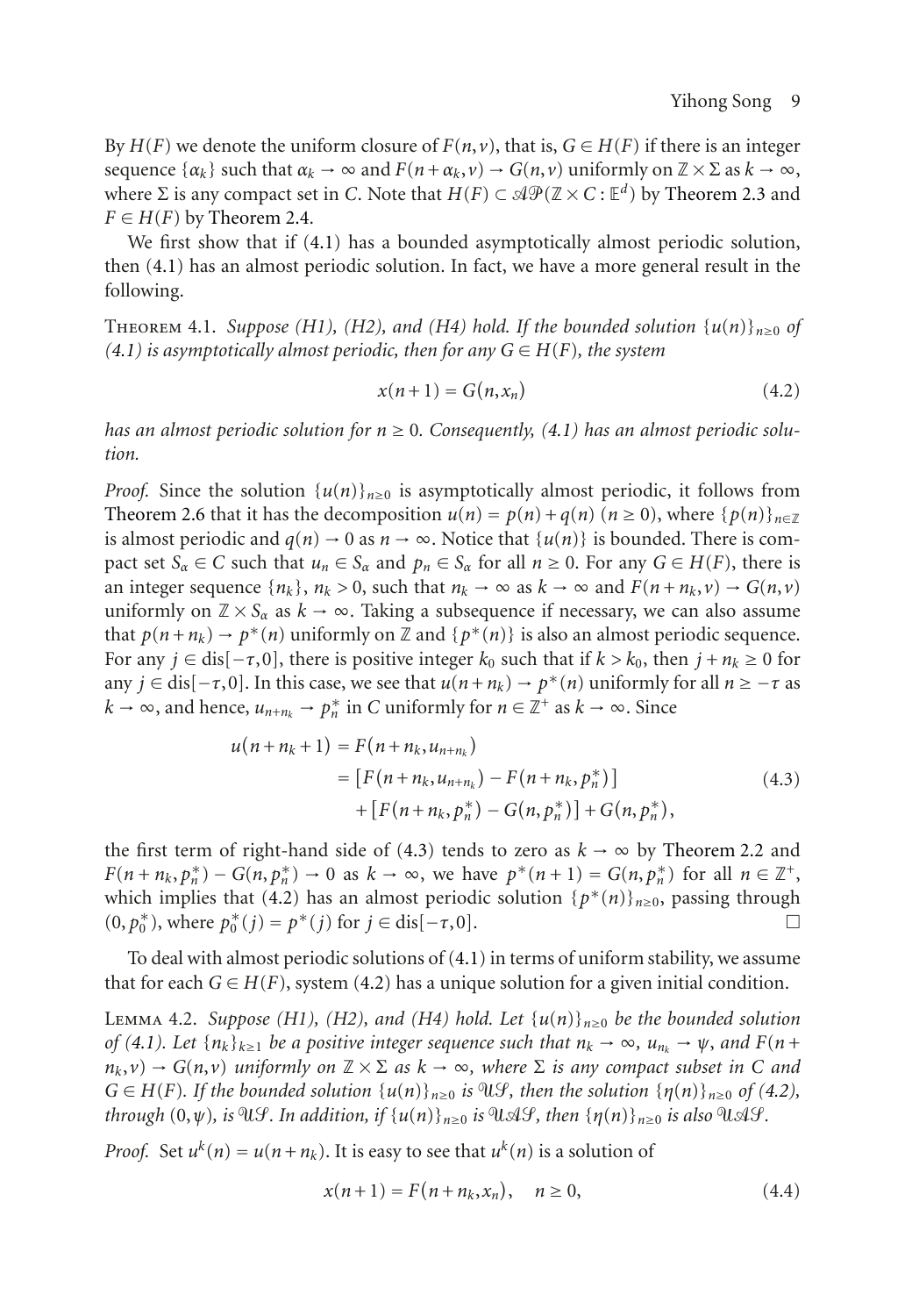By  $H(F)$  we denote the uniform closure of  $F(n, v)$ , that is,  $G \in H(F)$  if there is an integer sequence  $\{\alpha_k\}$  such that  $\alpha_k \to \infty$  and  $F(n+\alpha_k, \nu) \to G(n, \nu)$  uniformly on  $\mathbb{Z} \times \Sigma$  as  $k \to \infty$ , where  $\Sigma$  is any compact set in *C*. Note that  $H(F) \subset \mathcal{AP}(\mathbb{Z} \times C : \mathbb{E}^d)$  by [Theorem 2.3](#page-2-0) and  $F \in H(F)$  by [Theorem 2.4.](#page-2-1)

We first show that if [\(4.1\)](#page-7-3) has a bounded asymptotically almost periodic solution, then [\(4.1\)](#page-7-3) has an almost periodic solution. In fact, we have a more general result in the following.

<span id="page-8-3"></span>THEOREM 4.1. *Suppose (H1), (H2), and (H4) hold. If the bounded solution*  $\{u(n)\}_{n\geq0}$  of  $(4.1)$  *is asymptotically almost periodic, then for any*  $G \in H(F)$ *, the system* 

<span id="page-8-1"></span>
$$
x(n+1) = G(n, x_n) \tag{4.2}
$$

*has an almost periodic solution for*  $n \geq 0$ . Consequently, [\(4.1\)](#page-7-3) has an almost periodic solu*tion.*

*Proof.* Since the solution  $\{u(n)\}_{n\geq 0}$  is asymptotically almost periodic, it follows from [Theorem 2.6](#page-2-3) that it has the decomposition  $u(n) = p(n) + q(n)$  ( $n \ge 0$ ), where  $\{p(n)\}_{n \in \mathbb{Z}}$ is almost periodic and  $q(n) \to 0$  as  $n \to \infty$ . Notice that  $\{u(n)\}\$ is bounded. There is compact set  $S_\alpha \in C$  such that  $u_n \in S_\alpha$  and  $p_n \in S_\alpha$  for all  $n \ge 0$ . For any  $G \in H(F)$ , there is an integer sequence  $\{n_k\}$ ,  $n_k > 0$ , such that  $n_k \to \infty$  as  $k \to \infty$  and  $F(n + n_k, \nu) \to G(n, \nu)$ uniformly on  $\mathbb{Z} \times S_\alpha$  as  $k \to \infty$ . Taking a subsequence if necessary, we can also assume that  $p(n+n_k) \to p^*(n)$  uniformly on Z and  $\{p^*(n)\}\$ is also an almost periodic sequence. For any  $j \in dis[-\tau,0]$ , there is positive integer  $k_0$  such that if  $k > k_0$ , then  $j + n_k \ge 0$  for any  $j \in$  dis $[-\tau, 0]$ . In this case, we see that  $u(n + n_k) \to p^*(n)$  uniformly for all  $n \ge -\tau$  as *k* → ∞, and hence,  $u_{n+n_k}$  →  $p_n^*$  in *C* uniformly for  $n \in \mathbb{Z}^+$  as  $k \to \infty$ . Since

<span id="page-8-0"></span>
$$
u(n + n_k + 1) = F(n + n_k, u_{n + n_k})
$$
  
=  $[F(n + n_k, u_{n + n_k}) - F(n + n_k, p_n^*)]$   
+  $[F(n + n_k, p_n^*) - G(n, p_n^*)] + G(n, p_n^*),$  (4.3)

the first term of right-hand side of [\(4.3\)](#page-8-0) tends to zero as  $k \to \infty$  by [Theorem 2.2](#page-1-1) and  $F(n + n_k, p_n^*) - G(n, p_n^*) \to 0$  as  $k \to \infty$ , we have  $p^*(n+1) = G(n, p_n^*)$  for all  $n \in \mathbb{Z}^+$ , which implies that [\(4.2\)](#page-8-1) has an almost periodic solution  $\{p^*(n)\}_{n\geq 0}$ , passing through  $(0, p_0^*)$ , where  $p_0^*(i) = p^*(i)$  for  $i \in \text{dis}[-\tau, 0]$ . (0,  $p_0^*$ ), where  $p_0^*(j) = p^*(j)$  for  $j \in \text{dis}[-\tau, 0]$ .  $\Box$ 

<span id="page-8-4"></span>To deal with almost periodic solutions of [\(4.1\)](#page-7-3) in terms of uniform stability, we assume that for each  $G \in H(F)$ , system [\(4.2\)](#page-8-1) has a unique solution for a given initial condition.

LEMMA 4.2. *Suppose* (H1), (H2), and (H4) hold. Let  $\{u(n)\}_{n\geq0}$  be the bounded solution *of* [\(4.1\)](#page-7-3). Let  $\{n_k\}_{k\geq 1}$  *be a positive integer sequence such that*  $n_k \to \infty$ ,  $u_{n_k} \to \psi$ , and  $F(n + \xi)$  $n_k, v$ )  $\rightarrow$  *G*(*n*,*v*) *uniformly on*  $\mathbb{Z} \times \Sigma$  *as*  $k \rightarrow \infty$ , *where*  $\Sigma$  *is any compact subset in C and*  $G \in H(F)$ *. If the bounded solution*  $\{u(n)\}_{n\geq 0}$  *is*  $\mathcal{H}\mathcal{F}$ *, then the solution*  $\{\eta(n)\}_{n\geq 0}$  *of* [\(4.2\)](#page-8-1)*, through*  $(0,\psi)$ , *is*  $\mathbb{U}\mathcal{G}$ . In addition, if  $\{u(n)\}_{n\geq 0}$  *is*  $\mathbb{U}\mathcal{A}\mathcal{G}$ , *then*  $\{\eta(n)\}_{n\geq 0}$  *is also*  $\mathbb{U}\mathcal{A}\mathcal{G}$ .

*Proof.* Set  $u^k(n) = u(n+n_k)$ . It is easy to see that  $u^k(n)$  is a solution of

<span id="page-8-2"></span>
$$
x(n+1) = F(n+n_k, x_n), \quad n \ge 0,
$$
\n(4.4)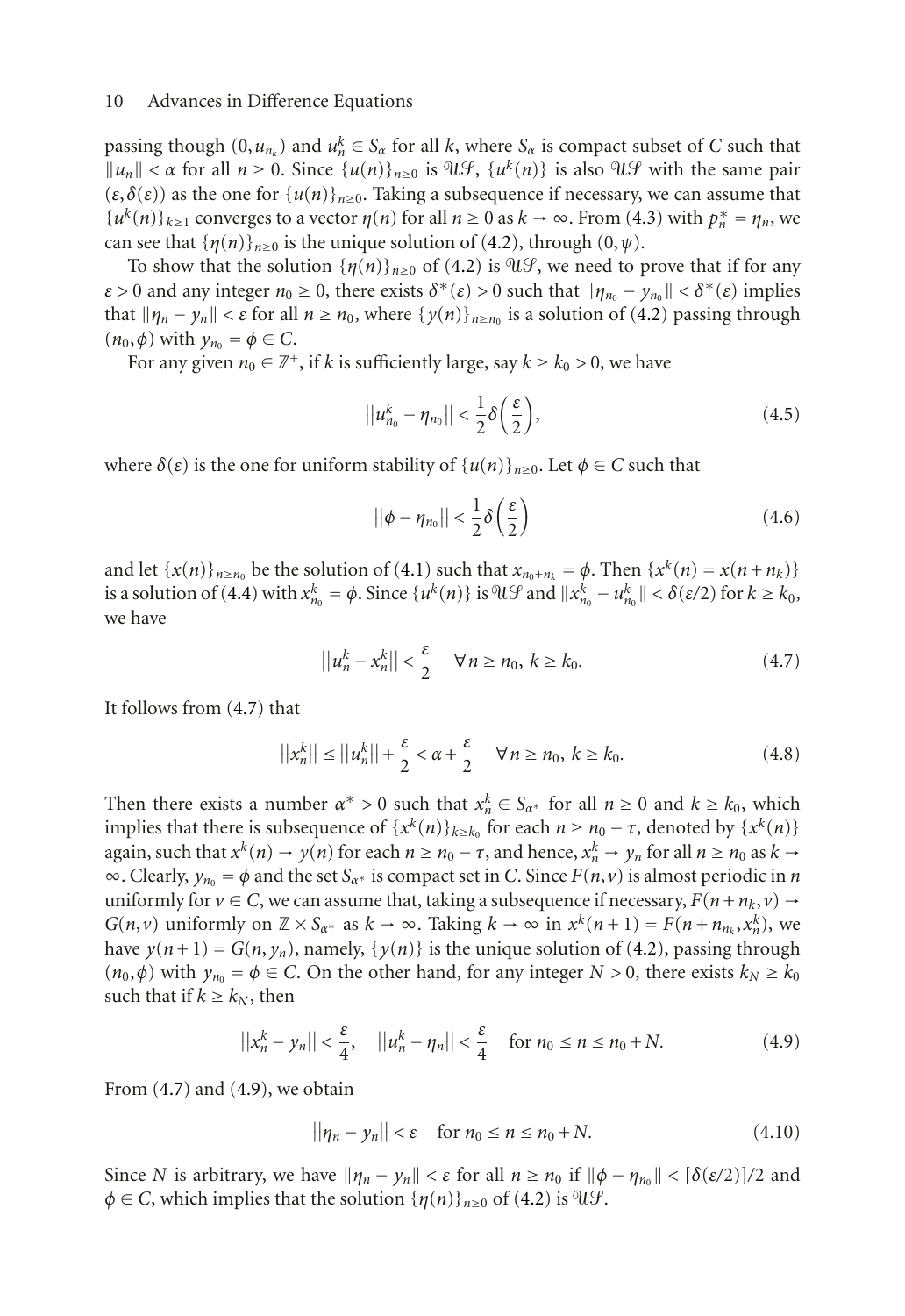passing though  $(0, u_{n_k})$  and  $u_n^k \in S_\alpha$  for all *k*, where  $S_\alpha$  is compact subset of *C* such that  $||u_n|| < \alpha$  for all  $n \ge 0$ . Since  $\{u(n)\}_{n \ge 0}$  is  $\mathfrak{A}(\mathcal{G})$ ,  $\{u^k(n)\}\$ is also  $\mathfrak{A}(\mathcal{G})$  with the same pair  $(\varepsilon, \delta(\varepsilon))$  as the one for  $\{u(n)\}_{n>0}$ . Taking a subsequence if necessary, we can assume that  $\{u^k(n)\}_{k\geq 1}$  converges to a vector  $\eta(n)$  for all  $n \geq 0$  as  $k \to \infty$ . From [\(4.3\)](#page-8-0) with  $p_n^* = \eta_n$ , we can see that  $\{\eta(n)\}_{n\geq 0}$  is the unique solution of [\(4.2\)](#page-8-1), through (0,  $\psi$ ).

To show that the solution  $\{\eta(n)\}_{n>0}$  of [\(4.2\)](#page-8-1) is  $\mathcal{U}\mathcal{G}$ , we need to prove that if for any *ε* > 0 and any integer  $n_0 \ge 0$ , there exists  $\delta^*(\varepsilon) > 0$  such that  $||\eta_{n_0} - \gamma_{n_0}|| < \delta^*(\varepsilon)$  implies that  $\|\eta_n - \gamma_n\| < \varepsilon$  for all  $n \ge n_0$ , where  $\{\gamma(n)\}_{n \ge n_0}$  is a solution of [\(4.2\)](#page-8-1) passing through  $(n_0, \phi)$  with  $y_{n_0} = \phi \in C$ .

For any given  $n_0 \in \mathbb{Z}^+$ , if *k* is sufficiently large, say  $k \geq k_0 > 0$ , we have

$$
||u_{n_0}^k - \eta_{n_0}|| < \frac{1}{2}\delta\left(\frac{\varepsilon}{2}\right),\tag{4.5}
$$

where  $\delta(\varepsilon)$  is the one for uniform stability of  $\{u(n)\}_{n>0}$ . Let  $\phi \in C$  such that

<span id="page-9-0"></span>
$$
||\phi - \eta_{n_0}|| < \frac{1}{2}\delta\left(\frac{\varepsilon}{2}\right) \tag{4.6}
$$

and let  $\{x(n)\}_{n\geq n_0}$  be the solution of [\(4.1\)](#page-7-3) such that  $x_{n_0+n_k} = \phi$ . Then  $\{x^k(n) = x(n+n_k)\}$ is a solution of [\(4.4\)](#page-8-2) with  $x_{n_0}^k = \phi$ . Since  $\{u^k(n)\}\$ is  $\mathcal{U}\mathcal{G}$  and  $||x_{n_0}^k - u_{n_0}^k|| < \delta(\varepsilon/2)$  for  $k \ge k_0$ , we have

$$
||u_n^k - x_n^k|| < \frac{\varepsilon}{2} \quad \forall n \ge n_0, \ k \ge k_0.
$$
 (4.7)

It follows from [\(4.7\)](#page-9-0) that

$$
||x_n^k|| \le ||u_n^k|| + \frac{\varepsilon}{2} < \alpha + \frac{\varepsilon}{2} \quad \forall n \ge n_0, \ k \ge k_0.
$$
 (4.8)

Then there exists a number  $\alpha^* > 0$  such that  $x_n^k \in S_{\alpha^*}$  for all  $n \ge 0$  and  $k \ge k_0$ , which implies that there is subsequence of  $\{x^k(n)\}_{k\geq k_0}$  for each  $n \geq n_0 - \tau$ , denoted by  $\{x^k(n)\}$ again, such that  $x^k(n) \to y(n)$  for each  $n \ge n_0 - \tau$ , and hence,  $x_n^k \to y_n$  for all  $n \ge n_0$  as  $k \to$  $\infty$ . Clearly,  $y_{n_0} = \phi$  and the set  $S_{\alpha^*}$  is compact set in *C*. Since  $F(n, v)$  is almost periodic in *n* uniformly for  $v \in C$ , we can assume that, taking a subsequence if necessary,  $F(n + n_k, v) \rightarrow$ *G*(*n*,*v*) uniformly on  $\mathbb{Z} \times S_{\alpha^*}$  as  $k \to \infty$ . Taking  $k \to \infty$  in  $x^k(n+1) = F(n + n_{n_k}, x_n^k)$ , we have  $y(n+1) = G(n, y_n)$ , namely,  $\{y(n)\}$  is the unique solution of [\(4.2\)](#page-8-1), passing through  $(n_0, \phi)$  with  $y_{n_0} = \phi \in C$ . On the other hand, for any integer  $N > 0$ , there exists  $k_N \geq k_0$ such that if  $k \geq k_N$ , then

$$
||x_n^k - y_n|| < \frac{\varepsilon}{4}, \quad ||u_n^k - \eta_n|| < \frac{\varepsilon}{4} \quad \text{for } n_0 \le n \le n_0 + N. \tag{4.9}
$$

From  $(4.7)$  and  $(4.9)$ , we obtain

<span id="page-9-1"></span>
$$
||\eta_n - y_n|| < \varepsilon \quad \text{for } n_0 \le n \le n_0 + N. \tag{4.10}
$$

Since *N* is arbitrary, we have  $||η<sub>n</sub> − y<sub>n</sub>|| < ε$  for all  $n ≥ n<sub>0</sub>$  if  $||φ − η<sub>n<sub>0</sub>|| < [δ(ε/2)]/2</sub>$  and  $\phi \in C$ , which implies that the solution  $\{\eta(n)\}_{n\geq 0}$  of [\(4.2\)](#page-8-1) is  $\mathfrak{A} \mathcal{G}$ .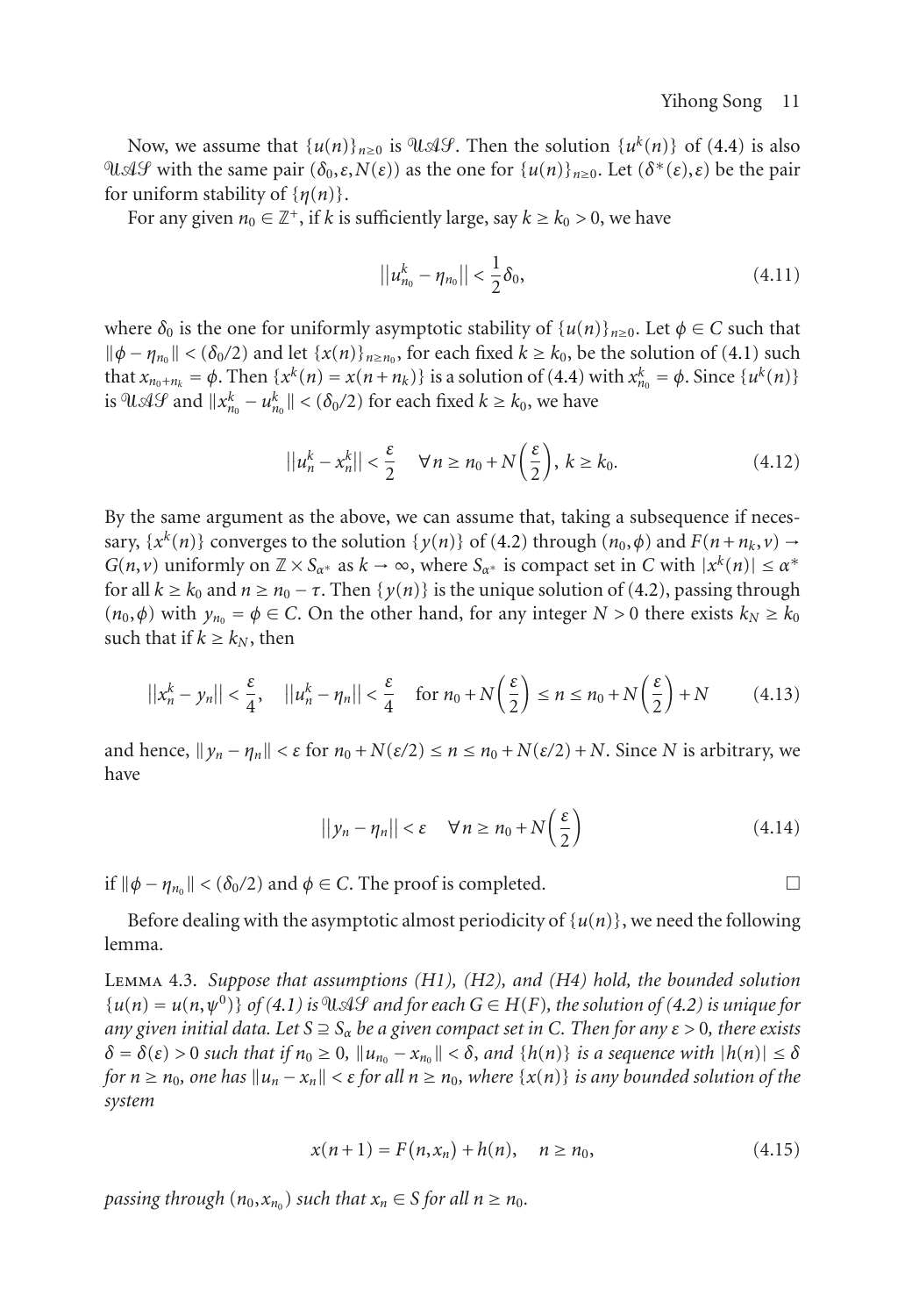Now, we assume that  $\{u(n)\}_{n>0}$  is  $\partial \mathcal{U}(\mathcal{A}\mathcal{G})$ . Then the solution  $\{u^k(n)\}\$  of [\(4.4\)](#page-8-2) is also  $\mathcal{U}$ Δ*Ψ* with the same pair  $(\delta_0, \varepsilon, N(\varepsilon))$  as the one for  $\{u(n)\}_{n\geq 0}$ . Let  $(\delta^*(\varepsilon), \varepsilon)$  be the pair for uniform stability of {*η*(*n*)}.

For any given  $n_0 \in \mathbb{Z}^+$ , if k is sufficiently large, say  $k \geq k_0 > 0$ , we have

$$
||u_{n_0}^k - \eta_{n_0}|| < \frac{1}{2}\delta_0,
$$
\n(4.11)

where  $\delta_0$  is the one for uniformly asymptotic stability of  $\{u(n)\}_{n>0}$ . Let  $\phi \in C$  such that  $\|\phi - \eta_{n_0}\| < (\delta_0/2)$  and let  $\{x(n)\}_{n \ge n_0}$ , for each fixed  $k \ge k_0$ , be the solution of [\(4.1\)](#page-7-3) such that  $x_{n_0+n_k} = \phi$ . Then  $\{x^k(n) = x(n+n_k)\}$  is a solution of [\(4.4\)](#page-8-2) with  $x_{n_0}^k = \phi$ . Since  $\{u^k(n)\}$ is  $\partial \mathcal{U} \mathcal{A} \mathcal{G}$  and  $||x_{n_0}^k - u_{n_0}^k|| < (\delta_0/2)$  for each fixed  $k \ge k_0$ , we have

$$
||u_n^k - x_n^k|| < \frac{\varepsilon}{2} \quad \forall n \ge n_0 + N\left(\frac{\varepsilon}{2}\right), \ k \ge k_0.
$$
 (4.12)

By the same argument as the above, we can assume that, taking a subsequence if necessary,  $\{x^k(n)\}$  converges to the solution  $\{y(n)\}$  of [\(4.2\)](#page-8-1) through  $(n_0, \phi)$  and  $F(n+n_k, \nu) \rightarrow$ *G*(*n*,*v*) uniformly on  $\mathbb{Z} \times S_{\alpha^*}$  as  $k \to \infty$ , where  $S_{\alpha^*}$  is compact set in *C* with  $|x^k(n)| \leq \alpha^*$ for all  $k \geq k_0$  and  $n \geq n_0 - \tau$ . Then  $\{y(n)\}$  is the unique solution of [\(4.2\)](#page-8-1), passing through  $(n_0, \phi)$  with  $y_{n_0} = \phi \in C$ . On the other hand, for any integer  $N > 0$  there exists  $k_N \ge k_0$ such that if  $k \geq k_N$ , then

$$
||x_n^k - y_n|| < \frac{\varepsilon}{4}, \quad ||u_n^k - \eta_n|| < \frac{\varepsilon}{4} \quad \text{for } n_0 + N\left(\frac{\varepsilon}{2}\right) \le n \le n_0 + N\left(\frac{\varepsilon}{2}\right) + N \tag{4.13}
$$

and hence,  $\|\gamma_n - \eta_n\| < \varepsilon$  for  $n_0 + N(\varepsilon/2) \le n \le n_0 + N(\varepsilon/2) + N$ . Since *N* is arbitrary, we have

$$
||y_n - \eta_n|| < \varepsilon \quad \forall n \ge n_0 + N\left(\frac{\varepsilon}{2}\right) \tag{4.14}
$$

if  $\|\phi - \eta_{n_0}\| < (\delta_0/2)$  and  $\phi \in C$ . The proof is completed.  $\square$ 

<span id="page-10-0"></span>Before dealing with the asymptotic almost periodicity of  $\{u(n)\}\)$ , we need the following lemma.

Lemma 4.3. *Suppose that assumptions (H1), (H2), and (H4) hold, the bounded solution*  ${u(n) = u(n, \psi^0)}$  of [\(4.1\)](#page-7-3) is  $\mathfrak{A} \mathcal{A} \mathcal{A}$  and for each  $G \in H(F)$ , the solution of [\(4.2\)](#page-8-1) is unique for *any given initial data. Let*  $S \supseteq S_\alpha$  *be a given compact set in* C. Then for any  $\varepsilon > 0$ , there exists  $\delta = \delta(\varepsilon) > 0$  *such that if*  $n_0 \geq 0$ ,  $\|u_{n_0} - x_{n_0}\| < \delta$ , and  $\{h(n)\}\$  *is a sequence with*  $|h(n)| \leq \delta$ *for*  $n \ge n_0$ , one has  $||u_n - x_n|| < \varepsilon$  *for all*  $n \ge n_0$ , where  $\{x(n)\}\$  *is any bounded solution of the system*

$$
x(n+1) = F(n, x_n) + h(n), \quad n \ge n_0,
$$
\n(4.15)

*passing through*  $(n_0, x_{n_0})$  *such that*  $x_n \in S$  *for all*  $n \ge n_0$ *.*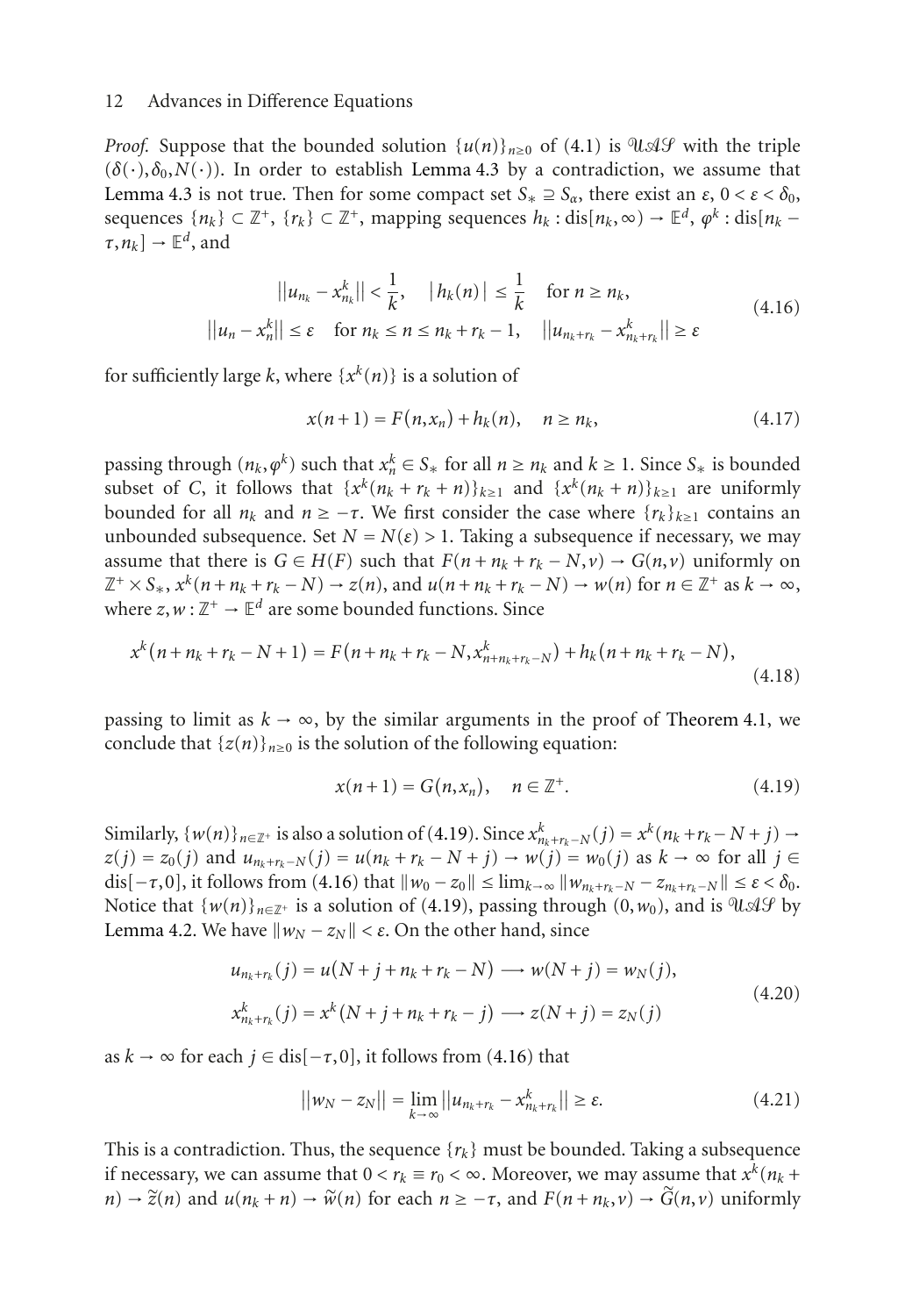*Proof.* Suppose that the bounded solution  $\{u(n)\}_{n>0}$  of [\(4.1\)](#page-7-3) is  $\partial u \mathcal{A} \mathcal{G}$  with the triple  $(\delta(\cdot), \delta_0, N(\cdot))$ . In order to establish [Lemma 4.3](#page-10-0) by a contradiction, we assume that [Lemma 4.3](#page-10-0) is not true. Then for some compact set  $S_* \supseteq S_\alpha$ , there exist an  $\varepsilon$ ,  $0 < \varepsilon < \delta_0$ , sequences  $\{n_k\} \subset \mathbb{Z}^+$ ,  $\{r_k\} \subset \mathbb{Z}^+$ , mapping sequences  $h_k$ : dis $[n_k, \infty) \to \mathbb{E}^d$ ,  $\varphi^k$ : dis $[n_k [\tau, n_k] \rightarrow \mathbb{E}^d$ , and

$$
||u_{n_k} - x_{n_k}^k|| < \frac{1}{k}, \quad |h_k(n)| \le \frac{1}{k} \quad \text{for } n \ge n_k,
$$
  

$$
||u_n - x_n^k|| \le \varepsilon \quad \text{for } n_k \le n \le n_k + r_k - 1, \quad ||u_{n_k + r_k} - x_{n_k + r_k}^k|| \ge \varepsilon
$$
 (4.16)

for sufficiently large k, where  $\{x^k(n)\}\$ is a solution of

<span id="page-11-1"></span>
$$
x(n+1) = F(n, x_n) + h_k(n), \quad n \ge n_k,
$$
\n(4.17)

passing through  $(n_k, \varphi^k)$  such that  $x_n^k \in S_*$  for all  $n \ge n_k$  and  $k \ge 1$ . Since  $S_*$  is bounded subset of *C*, it follows that  $\{x^k(n_k + r_k + n)\}_{k \geq 1}$  and  $\{x^k(n_k + n)\}_{k \geq 1}$  are uniformly bounded for all  $n_k$  and  $n \geq -\tau$ . We first consider the case where  $\{r_k\}_{k\geq 1}$  contains an unbounded subsequence. Set  $N = N(\varepsilon) > 1$ . Taking a subsequence if necessary, we may assume that there is  $G \in H(F)$  such that  $F(n + n_k + r_k - N, \nu) \to G(n, \nu)$  uniformly on  $\mathbb{Z}^+ \times S_*$ ,  $x^k(n+n_k+r_k-N) \to z(n)$ , and  $u(n+n_k+r_k-N) \to w(n)$  for  $n \in \mathbb{Z}^+$  as  $k \to \infty$ , where  $z, w: \mathbb{Z}^+ \to \mathbb{E}^d$  are some bounded functions. Since

$$
x^{k}(n+n_{k}+r_{k}-N+1)=F(n+n_{k}+r_{k}-N,x_{n+n_{k}+r_{k}-N}^{k})+h_{k}(n+n_{k}+r_{k}-N),
$$
\n(4.18)

passing to limit as  $k \to \infty$ , by the similar arguments in the proof of [Theorem 4.1,](#page-8-3) we conclude that  $\{z(n)\}_{n\geq 0}$  is the solution of the following equation:

<span id="page-11-0"></span>
$$
x(n+1) = G(n, x_n), \quad n \in \mathbb{Z}^+.
$$
\n
$$
(4.19)
$$

Similarly,  $\{w(n)\}_{n\in\mathbb{Z}^+}$  is also a solution of [\(4.19\)](#page-11-0). Since  $x_{n_k+r_k-N}^k(j) = x^k(n_k+r_k-N+j) \rightarrow$ *z*(*j*) = *z*<sub>0</sub>(*j*) and *u*<sub>*n<sub>k</sub>*+*r<sub>k</sub>*−*N*(*j*) = *u*(*n<sub>k</sub>* + *r<sub>k</sub>* − *N* + *j*) → *w*(*j*) = *w*<sub>0</sub>(*j*) as *k* → ∞ for all *j* ∈</sub> dis $[-\tau, 0]$ , it follows from [\(4.16\)](#page-11-1) that  $||w_0 - z_0|| \le \lim_{k \to \infty} ||w_{m_k + r_k - N} - z_{n_k + r_k - N}|| \le \varepsilon < \delta_0$ . Notice that  $\{w(n)\}_{n\in\mathbb{Z}^+}$  is a solution of [\(4.19\)](#page-11-0), passing through (0,*w*<sub>0</sub>), and is UAS by [Lemma 4.2.](#page-8-4) We have  $||w_N - z_N|| < ε$ . On the other hand, since

$$
u_{n_k + r_k}(j) = u(N + j + n_k + r_k - N) \longrightarrow w(N + j) = w_N(j),
$$
  
\n
$$
x_{n_k + r_k}^k(j) = x^k(N + j + n_k + r_k - j) \longrightarrow z(N + j) = z_N(j)
$$
\n(4.20)

as  $k \to \infty$  for each  $j \in dis[-\tau,0]$ , it follows from [\(4.16\)](#page-11-1) that

$$
||w_N - z_N|| = \lim_{k \to \infty} ||u_{n_k + r_k} - x_{n_k + r_k}^k|| \ge \varepsilon.
$$
 (4.21)

This is a contradiction. Thus, the sequence  $\{r_k\}$  must be bounded. Taking a subsequence if necessary, we can assume that  $0 < r_k \equiv r_0 < \infty$ . Moreover, we may assume that  $x^k(n_k +$  $n \rightarrow \tilde{z}(n)$  and  $u(n_k + n) \rightarrow \tilde{w}(n)$  for each  $n \geq -\tau$ , and  $F(n + n_k, v) \rightarrow \tilde{G}(n, v)$  uniformly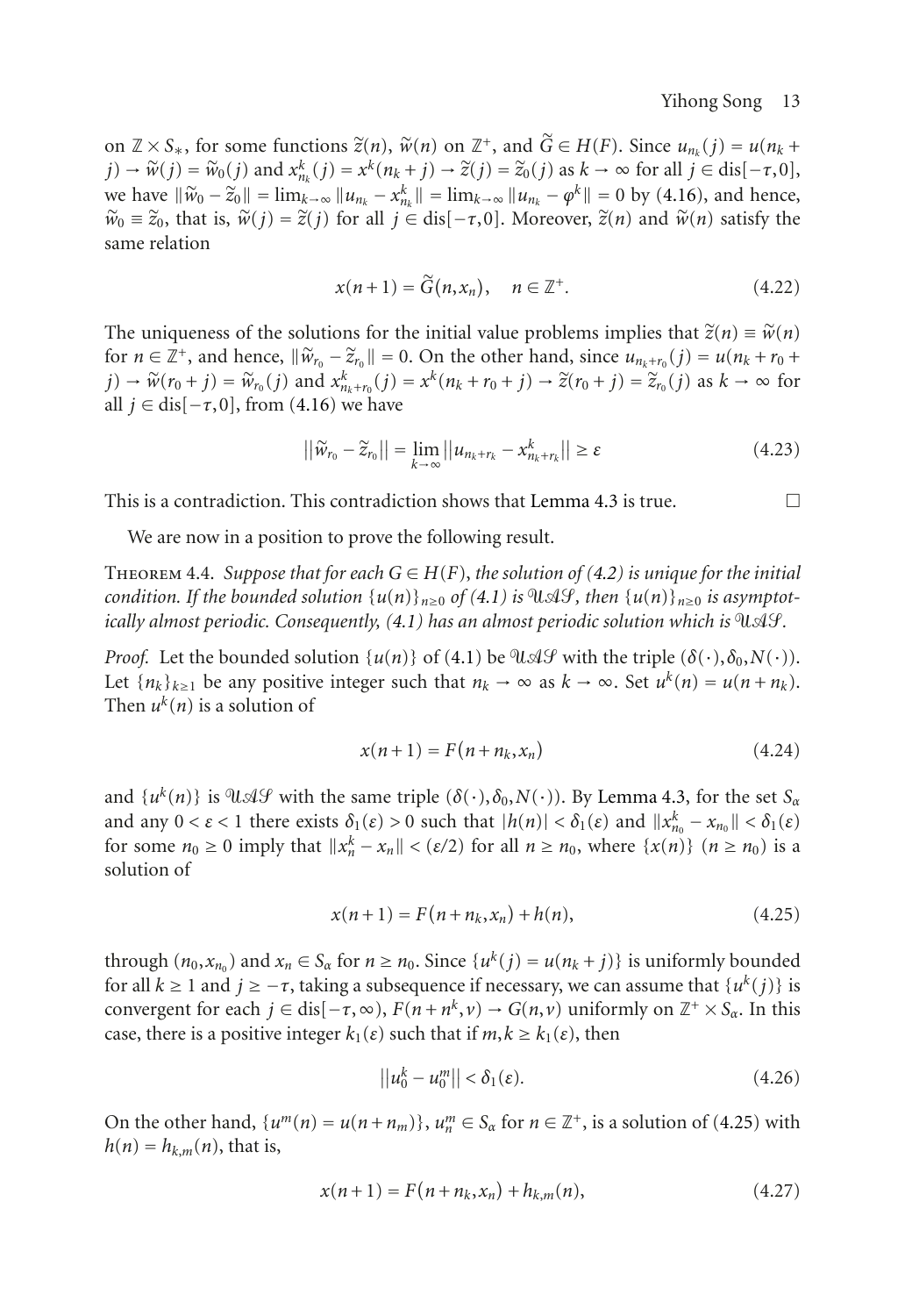on  $\mathbb{Z} \times S_*$ , for some functions  $\tilde{z}(n)$ ,  $\tilde{w}(n)$  on  $\mathbb{Z}^+$ , and  $\tilde{G} \in H(F)$ . Since  $u_{n_k}(j) = u(n_k + j)$ *j*) →  $\widetilde{w}(j) = \widetilde{w}_0(j)$  and  $x_{n_k}^k(j) = x^k(n_k + j) \rightarrow \widetilde{z}(j) = \widetilde{z}_0(j)$  as  $k \rightarrow \infty$  for all  $j \in \text{dis}[-\tau, 0],$ <br> *num* boys  $\|\widetilde{w}\| = \lim_{k \to \infty} \|w_k - \widetilde{w}_k\| = \lim_{k \to \infty} \|w_k - \widetilde{w}_k\| = 0$  by (4.16) and bones we have  $\|\widetilde{w}_0 - \widetilde{z}_0\| = \lim_{k \to \infty} \|u_{n_k} - x_{n_k}^k\| = \lim_{k \to \infty} \|u_{n_k} - \varphi^k\| = 0$  by [\(4.16\)](#page-11-1), and hence,<br> $\widetilde{w}_0 = \widetilde{z}_0$  that is  $\widetilde{w}_0(i) = \widetilde{z}(i)$  for all is  $\subset$  disk,  $\subset$  01 Moreover  $\widetilde{z}(n)$  and  $\widetilde{w$  $\widetilde{w}_0 \equiv \widetilde{z}_0$ , that is,  $\widetilde{w}(j) = \widetilde{z}(j)$  for all  $j \in \text{dis}[-\tau, 0]$ . Moreover,  $\widetilde{z}(n)$  and  $\widetilde{w}(n)$  satisfy the same relation

$$
x(n+1) = \widetilde{G}(n, x_n), \quad n \in \mathbb{Z}^+.
$$
\n
$$
(4.22)
$$

The uniqueness of the solutions for the initial value problems implies that  $\tilde{z}(n) \equiv \tilde{w}(n)$ for  $n \in \mathbb{Z}^+$ , and hence,  $\|\widetilde{w}_{r_0} - \widetilde{z}_{r_0}\| = 0$ . On the other hand, since  $u_{n_k+r_0}(j) = u(n_k+r_0+r_0)$  $j) \rightarrow \widetilde{w}(r_0 + j) = \widetilde{w}_{r_0}(j)$  and  $x_{r_k + r_0}^k(j) = x^k(n_k + r_0 + j) \rightarrow \widetilde{z}(r_0 + j) = \widetilde{z}_{r_0}(j)$  as  $k \rightarrow \infty$  for all  $i \in \text{dist}$ ,  $\pi$  01 from (4.16) we have all  $j \in$  dis[ $-\tau$ , 0], from [\(4.16\)](#page-11-1) we have

$$
||\widetilde{w}_{r_0} - \widetilde{z}_{r_0}|| = \lim_{k \to \infty} ||u_{n_k + r_k} - x_{n_k + r_k}^k|| \ge \varepsilon
$$
\n(4.23)

This is a contradiction. This contradiction shows that [Lemma 4.3](#page-10-0) is true.  $\Box$ 

We are now in a position to prove the following result.

THEOREM 4.4. *Suppose that for each*  $G \in H(F)$ , the solution of [\(4.2\)](#page-8-1) is unique for the initial *condition. If the bounded solution*  $\{u(n)\}_{n\geq0}$  *of*  $(4.1)$  *is*  $\mathcal{A}\mathcal{L}$ *f*, *then*  $\{u(n)\}_{n\geq0}$  *is asymptotically almost periodic. Consequently,* [\(4.1\)](#page-7-3) has an almost periodic solution which is  $\mathcal{U} \mathcal{A} \mathcal{G}$ .

*Proof.* Let the bounded solution  $\{u(n)\}\$  of [\(4.1\)](#page-7-3) be  $\mathcal{U}\mathcal{A}\mathcal{G}$  with the triple  $(\delta(\cdot), \delta_0, N(\cdot))$ . Let  $\{n_k\}_{k\geq 1}$  be any positive integer such that  $n_k \to \infty$  as  $k \to \infty$ . Set  $u^k(n) = u(n + n_k)$ . Then  $u^k(n)$  is a solution of

<span id="page-12-1"></span>
$$
x(n+1) = F(n+n_k, x_n) \tag{4.24}
$$

and  $\{u^k(n)\}\$ is  $\emptyset\mathcal{A}\mathcal{G}$  with the same triple  $(\delta(\cdot), \delta_0, N(\cdot))$ . By [Lemma 4.3,](#page-10-0) for the set  $S_\alpha$ and any  $0 < \varepsilon < 1$  there exists  $\delta_1(\varepsilon) > 0$  such that  $|h(n)| < \delta_1(\varepsilon)$  and  $||x_{n_0}^k - x_{n_0}|| < \delta_1(\varepsilon)$ for some  $n_0 \ge 0$  imply that  $||x_n^k - x_n|| < (\varepsilon/2)$  for all  $n \ge n_0$ , where  $\{x(n)\}$   $(n \ge n_0)$  is a solution of

<span id="page-12-0"></span>
$$
x(n+1) = F(n+n_k, x_n) + h(n),
$$
\n(4.25)

through  $(n_0, x_{n_0})$  and  $x_n \in S_\alpha$  for  $n \ge n_0$ . Since  $\{u^k(j) = u(n_k + j)\}$  is uniformly bounded for all  $k$  ≥ 1 and  $j$  ≥ −*τ*, taking a subsequence if necessary, we can assume that { $u<sup>k</sup>(j)$ } is convergent for each  $j \in dis[-\tau,\infty)$ ,  $F(n+n^k,\nu) \to G(n,\nu)$  uniformly on  $\mathbb{Z}^+ \times S_\alpha$ . In this case, there is a positive integer  $k_1(\varepsilon)$  such that if  $m, k \geq k_1(\varepsilon)$ , then

<span id="page-12-3"></span><span id="page-12-2"></span>
$$
\left|\left|u_0^k - u_0^m\right|\right| < \delta_1(\varepsilon). \tag{4.26}
$$

On the other hand,  $\{u^m(n) = u(n + n_m)\}\$ ,  $u_n^m \in S_\alpha$  for  $n \in \mathbb{Z}^+$ , is a solution of [\(4.25\)](#page-12-0) with  $h(n) = h_{k,m}(n)$ , that is,

$$
x(n+1) = F(n+n_k, x_n) + h_{k,m}(n),
$$
\n(4.27)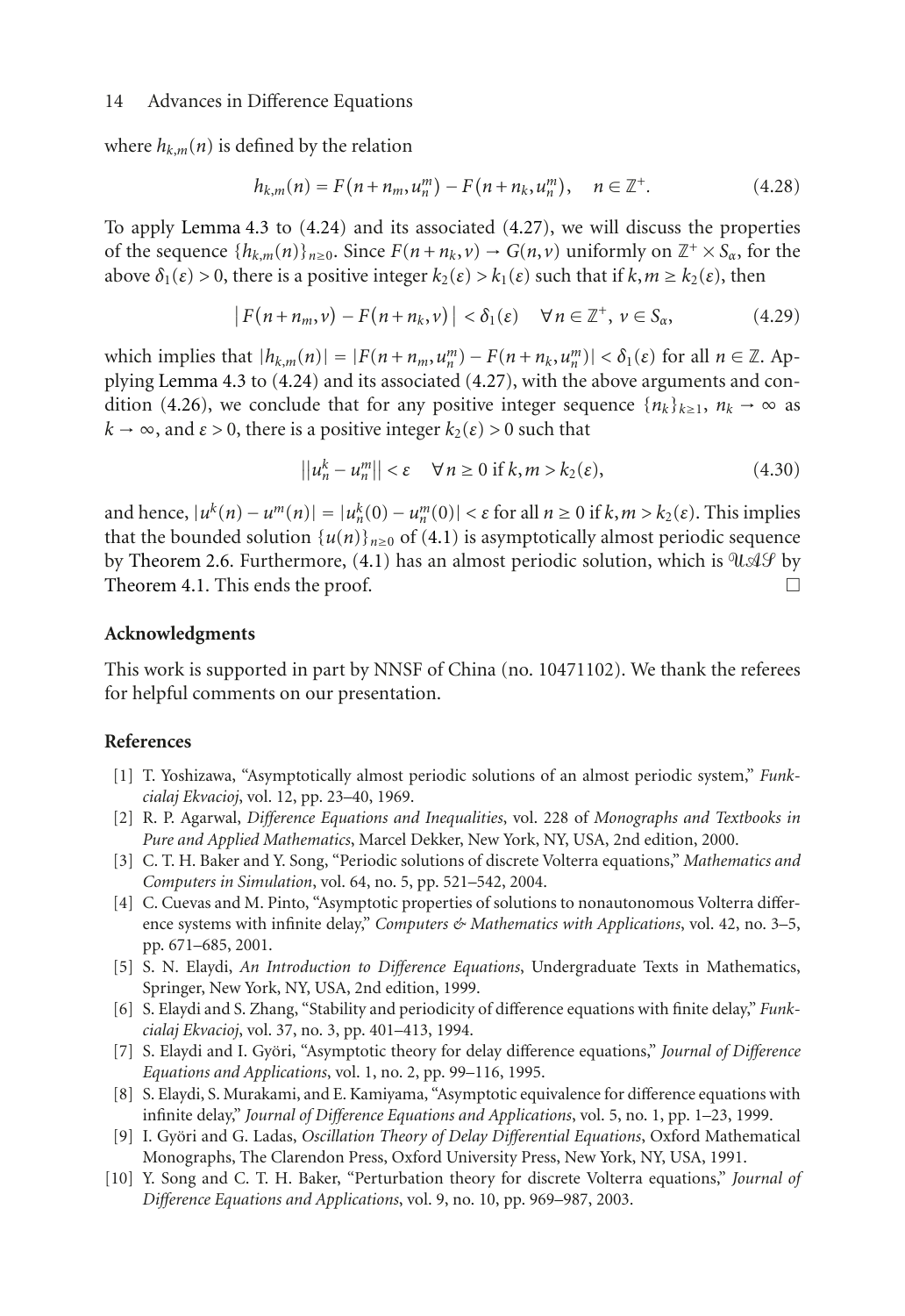where  $h_{k,m}(n)$  is defined by the relation

$$
h_{k,m}(n) = F(n + n_m, u_n^m) - F(n + n_k, u_n^m), \quad n \in \mathbb{Z}^+.
$$
 (4.28)

To apply [Lemma 4.3](#page-10-0) to [\(4.24\)](#page-12-1) and its associated [\(4.27\)](#page-12-2), we will discuss the properties of the sequence  ${h_{k,m}(n)}_{n\geq0}$ . Since  $F(n+n_k, v) \to G(n, v)$  uniformly on  $\mathbb{Z}^+ \times S_\alpha$ , for the above  $\delta_1(\varepsilon) > 0$ , there is a positive integer  $k_2(\varepsilon) > k_1(\varepsilon)$  such that if  $k, m \geq k_2(\varepsilon)$ , then

$$
|F(n+n_m, v) - F(n+n_k, v)| < \delta_1(\varepsilon) \quad \forall n \in \mathbb{Z}^+, \ v \in S_\alpha,
$$
 (4.29)

which implies that  $|h_{k,m}(n)| = |F(n + n_m, u_n^m) - F(n + n_k, u_n^m)| < \delta_1(\varepsilon)$  for all  $n \in \mathbb{Z}$ . Applying [Lemma 4.3](#page-10-0) to [\(4.24\)](#page-12-1) and its associated [\(4.27\)](#page-12-2), with the above arguments and con-dition [\(4.26\)](#page-12-3), we conclude that for any positive integer sequence  $\{n_k\}_{k\geq 1}$ ,  $n_k \to \infty$  as  $k \to \infty$ , and  $\epsilon > 0$ , there is a positive integer  $k_2(\epsilon) > 0$  such that

$$
||u_n^k - u_n^m|| < \varepsilon \quad \forall n \ge 0 \text{ if } k, m > k_2(\varepsilon), \tag{4.30}
$$

and hence,  $|u^k(n) - u^m(n)| = |u_n^k(0) - u_n^m(0)| < \varepsilon$  for all  $n \ge 0$  if  $k, m > k_2(\varepsilon)$ . This implies that the bounded solution  $\{u(n)\}_{n\geq 0}$  of [\(4.1\)](#page-7-3) is asymptotically almost periodic sequence by [Theorem 2.6.](#page-2-3) Furthermore, [\(4.1\)](#page-7-3) has an almost periodic solution, which is  $\partial \mathcal{U} \mathcal{A} \mathcal{G}$  by [Theorem 4.1.](#page-8-3) This ends the proof.  $\Box$ 

#### **Acknowledgments**

This work is supported in part by NNSF of China (no. 10471102). We thank the referees for helpful comments on our presentation.

# <span id="page-13-1"></span><span id="page-13-0"></span>**References**

- [1] T. Yoshizawa, "Asymptotically almost periodic solutions of an almost periodic system," *Funkcialaj Ekvacioj*, vol. 12, pp. 23–40, 1969.
- <span id="page-13-2"></span>[2] R. P. Agarwal, *Difference Equations and Inequalities*, vol. 228 of *Monographs and Textbooks in Pure and Applied Mathematics*, Marcel Dekker, New York, NY, USA, 2nd edition, 2000.
- [3] C. T. H. Baker and Y. Song, "Periodic solutions of discrete Volterra equations," *Mathematics and Computers in Simulation*, vol. 64, no. 5, pp. 521–542, 2004.
- [4] C. Cuevas and M. Pinto, "Asymptotic properties of solutions to nonautonomous Volterra difference systems with infinite delay," *Computers & Mathematics with Applications*, vol. 42, no. 3–5, pp. 671–685, 2001.
- [5] S. N. Elaydi, *An Introduction to Difference Equations*, Undergraduate Texts in Mathematics, Springer, New York, NY, USA, 2nd edition, 1999.
- [6] S. Elaydi and S. Zhang, "Stability and periodicity of difference equations with finite delay," *Funkcialaj Ekvacioj*, vol. 37, no. 3, pp. 401–413, 1994.
- [7] S. Elaydi and I. Györi, "Asymptotic theory for delay difference equations," *Journal of Difference Equations and Applications*, vol. 1, no. 2, pp. 99–116, 1995.
- [8] S. Elaydi, S. Murakami, and E. Kamiyama, "Asymptotic equivalence for difference equations with infinite delay," *Journal of Difference Equations and Applications*, vol. 5, no. 1, pp. 1–23, 1999.
- [9] I. Györi and G. Ladas, *Oscillation Theory of Delay Differential Equations*, Oxford Mathematical Monographs, The Clarendon Press, Oxford University Press, New York, NY, USA, 1991.
- [10] Y. Song and C. T. H. Baker, "Perturbation theory for discrete Volterra equations," *Journal of Difference Equations and Applications*, vol. 9, no. 10, pp. 969–987, 2003.